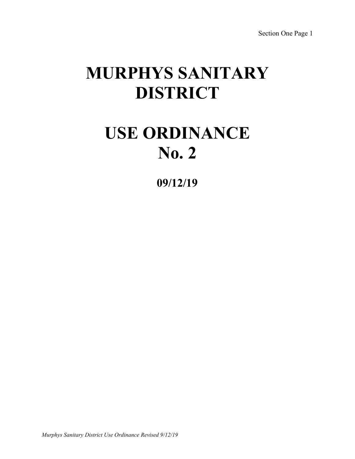# **MURPHYS SANITARY DISTRICT**

# **USE ORDINANCE No. 2**

**09/12/19**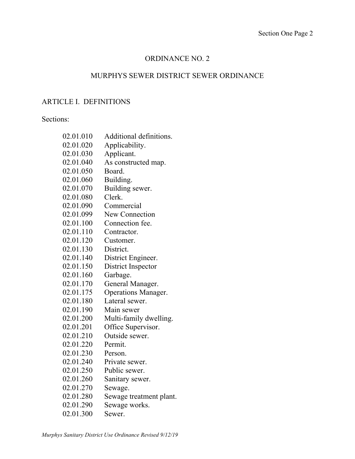# ORDINANCE NO. 2

# MURPHYS SEWER DISTRICT SEWER ORDINANCE

# ARTICLE I. DEFINITIONS

# Sections:

| 02.01.010 | Additional definitions. |
|-----------|-------------------------|
| 02.01.020 | Applicability.          |
| 02.01.030 | Applicant.              |
| 02.01.040 | As constructed map.     |
| 02.01.050 | Board.                  |
| 02.01.060 | Building.               |
| 02.01.070 | Building sewer.         |
| 02.01.080 | Clerk.                  |
| 02.01.090 | Commercial              |
| 02.01.099 | <b>New Connection</b>   |
| 02.01.100 | Connection fee.         |
| 02.01.110 | Contractor.             |
| 02.01.120 | Customer.               |
| 02.01.130 | District.               |
| 02.01.140 | District Engineer.      |
| 02.01.150 | District Inspector      |
| 02.01.160 | Garbage.                |
| 02.01.170 | General Manager.        |
| 02.01.175 | Operations Manager.     |
| 02.01.180 | Lateral sewer.          |
| 02.01.190 | Main sewer              |
| 02.01.200 | Multi-family dwelling.  |
| 02.01.201 | Office Supervisor.      |
| 02.01.210 | Outside sewer.          |
| 02.01.220 | Permit.                 |
| 02.01.230 | Person.                 |
| 02.01.240 | Private sewer.          |
| 02.01.250 | Public sewer.           |
| 02.01.260 | Sanitary sewer.         |
| 02.01.270 | Sewage.                 |
| 02.01.280 | Sewage treatment plant. |
| 02.01.290 | Sewage works.           |
| 02.01.300 | Sewer.                  |
|           |                         |
|           |                         |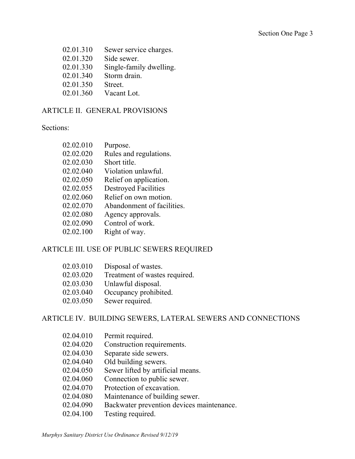02.01.310 Sewer service charges. 02.01.320 Side sewer. 02.01.330 Single-family dwelling. 02.01.340 Storm drain. 02.01.350 Street. 02.01.360 Vacant Lot.

## ARTICLE II. GENERAL PROVISIONS

#### Sections:

| 02.02.010  | Purpose.                    |
|------------|-----------------------------|
| 02.02.020  | Rules and regulations.      |
| 02.02.030  | Short title.                |
| 02.02.040  | Violation unlawful.         |
| 02.02.050  | Relief on application.      |
| 02.02.055  | <b>Destroyed Facilities</b> |
| 02.02.060  | Relief on own motion.       |
| 02.02.070  | Abandonment of facilities.  |
| 02.02.080  | Agency approvals.           |
| 02.02.090  | Control of work.            |
| . <i>.</i> |                             |

02.02.100 Right of way.

# ARTICLE III. USE OF PUBLIC SEWERS REQUIRED

| 02.03.010 | Disposal of wastes.           |
|-----------|-------------------------------|
| 02.03.020 | Treatment of wastes required. |
| 02.03.030 | Unlawful disposal.            |
| 02.03.040 | Occupancy prohibited.         |
| 02.03.050 | Sewer required.               |

# ARTICLE IV. BUILDING SEWERS, LATERAL SEWERS AND CONNECTIONS

- 02.04.010 Permit required.
- 02.04.020 Construction requirements.
- 02.04.030 Separate side sewers.
- 02.04.040 Old building sewers.
- 02.04.050 Sewer lifted by artificial means.
- 02.04.060 Connection to public sewer.
- 02.04.070 Protection of excavation.
- 02.04.080 Maintenance of building sewer.
- 02.04.090 Backwater prevention devices maintenance.
- 02.04.100 Testing required.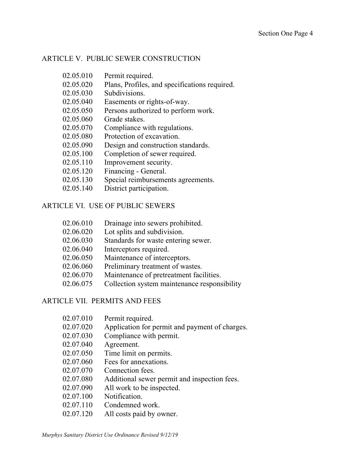#### ARTICLE V. PUBLIC SEWER CONSTRUCTION

- 02.05.010 Permit required.
- 02.05.020 Plans, Profiles, and specifications required.
- 02.05.030 Subdivisions.
- 02.05.040 Easements or rights-of-way.
- 02.05.050 Persons authorized to perform work.
- 02.05.060 Grade stakes.
- 02.05.070 Compliance with regulations.
- 02.05.080 Protection of excavation.
- 02.05.090 Design and construction standards.
- 02.05.100 Completion of sewer required.
- 02.05.110 Improvement security.
- 02.05.120 Financing General.
- 02.05.130 Special reimbursements agreements.
- 02.05.140 District participation.

#### ARTICLE VI. USE OF PUBLIC SEWERS

- 02.06.010 Drainage into sewers prohibited.
- 02.06.020 Lot splits and subdivision.
- 02.06.030 Standards for waste entering sewer.
- 02.06.040 Interceptors required.
- 02.06.050 Maintenance of interceptors.
- 02.06.060 Preliminary treatment of wastes.
- 02.06.070 Maintenance of pretreatment facilities.
- 02.06.075 Collection system maintenance responsibility

#### ARTICLE VII. PERMITS AND FEES

- 02.07.010 Permit required.
- 02.07.020 Application for permit and payment of charges.
- 02.07.030 Compliance with permit.
- 02.07.040 Agreement.
- 02.07.050 Time limit on permits.
- 02.07.060 Fees for annexations.
- 02.07.070 Connection fees.
- 02.07.080 Additional sewer permit and inspection fees.
- 02.07.090 All work to be inspected.
- 02.07.100 Notification.
- 02.07.110 Condemned work.
- 02.07.120 All costs paid by owner.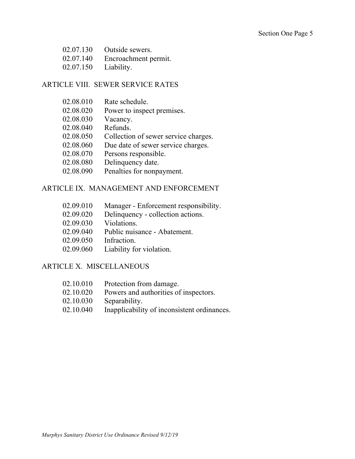| 02.07.130 | Outside sewers.      |
|-----------|----------------------|
| 02.07.140 | Encroachment permit. |
| 02.07.150 | Liability.           |

### ARTICLE VIII. SEWER SERVICE RATES

- 02.08.020 Power to inspect premises.
- 02.08.030 Vacancy.
- 02.08.040 Refunds.
- 02.08.050 Collection of sewer service charges.
- 02.08.060 Due date of sewer service charges.
- 02.08.070 Persons responsible.
- 02.08.080 Delinquency date.
- 02.08.090 Penalties for nonpayment.

#### ARTICLE IX. MANAGEMENT AND ENFORCEMENT

- 02.09.010 Manager Enforcement responsibility.
- 02.09.020 Delinquency collection actions.
- 02.09.030 Violations.
- 02.09.040 Public nuisance Abatement.
- 02.09.050 Infraction.
- 02.09.060 Liability for violation.

## ARTICLE X. MISCELLANEOUS

| 02.10.010 | Protection from damage.                     |
|-----------|---------------------------------------------|
| 02.10.020 | Powers and authorities of inspectors.       |
| 02.10.030 | Separability.                               |
| 02.10.040 | Inapplicability of inconsistent ordinances. |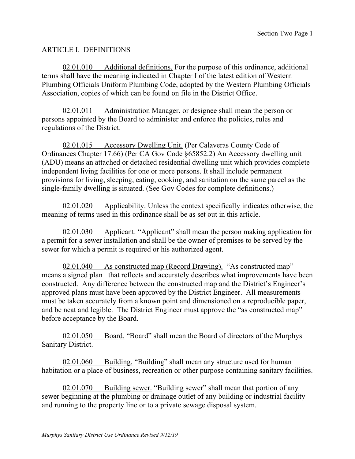# ARTICLE I. DEFINITIONS

02.01.010 Additional definitions. For the purpose of this ordinance, additional terms shall have the meaning indicated in Chapter I of the latest edition of Western Plumbing Officials Uniform Plumbing Code, adopted by the Western Plumbing Officials Association, copies of which can be found on file in the District Office.

02.01.011 Administration Manager. or designee shall mean the person or persons appointed by the Board to administer and enforce the policies, rules and regulations of the District.

02.01.015 Accessory Dwelling Unit. (Per Calaveras County Code of Ordinances Chapter 17.66) (Per CA Gov Code §65852.2) An Accessory dwelling unit (ADU) means an attached or detached residential dwelling unit which provides complete independent living facilities for one or more persons. It shall include permanent provisions for living, sleeping, eating, cooking, and sanitation on the same parcel as the single-family dwelling is situated. (See Gov Codes for complete definitions.)

02.01.020 Applicability. Unless the context specifically indicates otherwise, the meaning of terms used in this ordinance shall be as set out in this article.

02.01.030 Applicant. "Applicant" shall mean the person making application for a permit for a sewer installation and shall be the owner of premises to be served by the sewer for which a permit is required or his authorized agent.

02.01.040 As constructed map (Record Drawing). "As constructed map" means a signed plan that reflects and accurately describes what improvements have been constructed. Any difference between the constructed map and the District's Engineer's approved plans must have been approved by the District Engineer. All measurements must be taken accurately from a known point and dimensioned on a reproducible paper, and be neat and legible. The District Engineer must approve the "as constructed map" before acceptance by the Board.

02.01.050 Board. "Board" shall mean the Board of directors of the Murphys Sanitary District.

02.01.060 Building. "Building" shall mean any structure used for human habitation or a place of business, recreation or other purpose containing sanitary facilities.

02.01.070 Building sewer. "Building sewer" shall mean that portion of any sewer beginning at the plumbing or drainage outlet of any building or industrial facility and running to the property line or to a private sewage disposal system.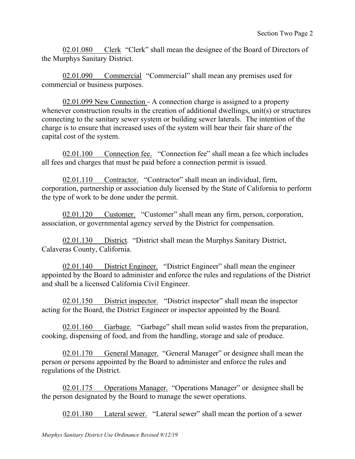02.01.080 Clerk "Clerk" shall mean the designee of the Board of Directors of the Murphys Sanitary District.

02.01.090 Commercial "Commercial" shall mean any premises used for commercial or business purposes.

02.01.099 New Connection - A connection charge is assigned to a property whenever construction results in the creation of additional dwellings, unit(s) or structures connecting to the sanitary sewer system or building sewer laterals. The intention of the charge is to ensure that increased uses of the system will bear their fair share of the capital cost of the system.

02.01.100 Connection fee. "Connection fee" shall mean a fee which includes all fees and charges that must be paid before a connection permit is issued.

02.01.110 Contractor. "Contractor" shall mean an individual, firm, corporation, partnership or association duly licensed by the State of California to perform the type of work to be done under the permit.

02.01.120 Customer. "Customer" shall mean any firm, person, corporation, association, or governmental agency served by the District for compensation.

02.01.130 District. "District shall mean the Murphys Sanitary District, Calaveras County, California.

02.01.140 District Engineer. "District Engineer" shall mean the engineer appointed by the Board to administer and enforce the rules and regulations of the District and shall be a licensed California Civil Engineer.

02.01.150 District inspector. "District inspector" shall mean the inspector acting for the Board, the District Engineer or inspector appointed by the Board.

02.01.160 Garbage. "Garbage" shall mean solid wastes from the preparation, cooking, dispensing of food, and from the handling, storage and sale of produce.

02.01.170 General Manager. "General Manager" or designee shall mean the person or persons appointed by the Board to administer and enforce the rules and regulations of the District.

02.01.175 Operations Manager. "Operations Manager" or designee shall be the person designated by the Board to manage the sewer operations.

02.01.180 Lateral sewer. "Lateral sewer" shall mean the portion of a sewer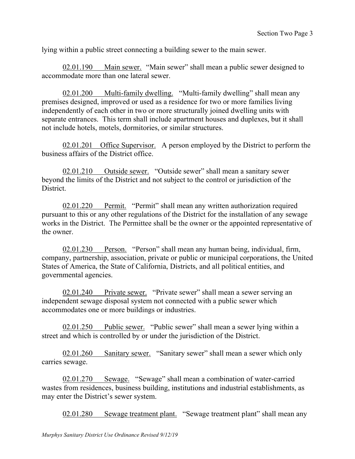lying within a public street connecting a building sewer to the main sewer.

02.01.190 Main sewer. "Main sewer" shall mean a public sewer designed to accommodate more than one lateral sewer.

02.01.200 Multi-family dwelling. "Multi-family dwelling" shall mean any premises designed, improved or used as a residence for two or more families living independently of each other in two or more structurally joined dwelling units with separate entrances. This term shall include apartment houses and duplexes, but it shall not include hotels, motels, dormitories, or similar structures.

02.01.201 Office Supervisor. A person employed by the District to perform the business affairs of the District office.

02.01.210 Outside sewer. "Outside sewer" shall mean a sanitary sewer beyond the limits of the District and not subject to the control or jurisdiction of the District.

02.01.220 Permit. "Permit" shall mean any written authorization required pursuant to this or any other regulations of the District for the installation of any sewage works in the District. The Permittee shall be the owner or the appointed representative of the owner.

02.01.230 Person. "Person" shall mean any human being, individual, firm, company, partnership, association, private or public or municipal corporations, the United States of America, the State of California, Districts, and all political entities, and governmental agencies.

02.01.240 Private sewer. "Private sewer" shall mean a sewer serving an independent sewage disposal system not connected with a public sewer which accommodates one or more buildings or industries.

02.01.250 Public sewer. "Public sewer" shall mean a sewer lying within a street and which is controlled by or under the jurisdiction of the District.

02.01.260 Sanitary sewer. "Sanitary sewer" shall mean a sewer which only carries sewage.

02.01.270 Sewage. "Sewage" shall mean a combination of water-carried wastes from residences, business building, institutions and industrial establishments, as may enter the District's sewer system.

02.01.280 Sewage treatment plant. "Sewage treatment plant" shall mean any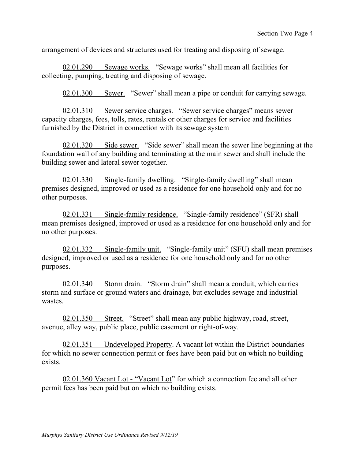arrangement of devices and structures used for treating and disposing of sewage.

02.01.290 Sewage works. "Sewage works" shall mean all facilities for collecting, pumping, treating and disposing of sewage.

02.01.300 Sewer. "Sewer" shall mean a pipe or conduit for carrying sewage.

02.01.310 Sewer service charges. "Sewer service charges" means sewer capacity charges, fees, tolls, rates, rentals or other charges for service and facilities furnished by the District in connection with its sewage system

02.01.320 Side sewer. "Side sewer" shall mean the sewer line beginning at the foundation wall of any building and terminating at the main sewer and shall include the building sewer and lateral sewer together.

02.01.330 Single-family dwelling. "Single-family dwelling" shall mean premises designed, improved or used as a residence for one household only and for no other purposes.

02.01.331 Single-family residence. "Single-family residence" (SFR) shall mean premises designed, improved or used as a residence for one household only and for no other purposes.

02.01.332 Single-family unit. "Single-family unit" (SFU) shall mean premises designed, improved or used as a residence for one household only and for no other purposes.

02.01.340 Storm drain. "Storm drain" shall mean a conduit, which carries storm and surface or ground waters and drainage, but excludes sewage and industrial wastes.

02.01.350 Street. "Street" shall mean any public highway, road, street, avenue, alley way, public place, public easement or right-of-way.

02.01.351 Undeveloped Property. A vacant lot within the District boundaries for which no sewer connection permit or fees have been paid but on which no building exists.

02.01.360 Vacant Lot - "Vacant Lot" for which a connection fee and all other permit fees has been paid but on which no building exists.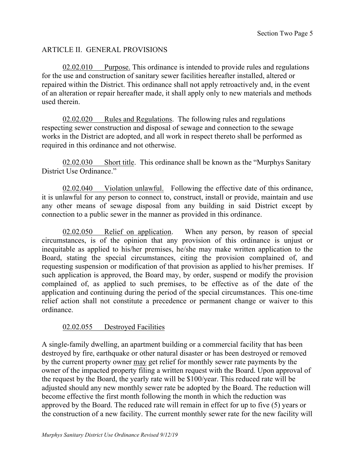# ARTICLE II. GENERAL PROVISIONS

02.02.010 Purpose. This ordinance is intended to provide rules and regulations for the use and construction of sanitary sewer facilities hereafter installed, altered or repaired within the District. This ordinance shall not apply retroactively and, in the event of an alteration or repair hereafter made, it shall apply only to new materials and methods used therein.

02.02.020 Rules and Regulations. The following rules and regulations respecting sewer construction and disposal of sewage and connection to the sewage works in the District are adopted, and all work in respect thereto shall be performed as required in this ordinance and not otherwise.

02.02.030 Short title. This ordinance shall be known as the "Murphys Sanitary District Use Ordinance."

02.02.040 Violation unlawful. Following the effective date of this ordinance, it is unlawful for any person to connect to, construct, install or provide, maintain and use any other means of sewage disposal from any building in said District except by connection to a public sewer in the manner as provided in this ordinance.

02.02.050 Relief on application. When any person, by reason of special circumstances, is of the opinion that any provision of this ordinance is unjust or inequitable as applied to his/her premises, he/she may make written application to the Board, stating the special circumstances, citing the provision complained of, and requesting suspension or modification of that provision as applied to his/her premises. If such application is approved, the Board may, by order, suspend or modify the provision complained of, as applied to such premises, to be effective as of the date of the application and continuing during the period of the special circumstances. This one-time relief action shall not constitute a precedence or permanent change or waiver to this ordinance.

# 02.02.055 Destroyed Facilities

A single-family dwelling, an apartment building or a commercial facility that has been destroyed by fire, earthquake or other natural disaster or has been destroyed or removed by the current property owner may get relief for monthly sewer rate payments by the owner of the impacted property filing a written request with the Board. Upon approval of the request by the Board, the yearly rate will be \$100/year. This reduced rate will be adjusted should any new monthly sewer rate be adopted by the Board. The reduction will become effective the first month following the month in which the reduction was approved by the Board. The reduced rate will remain in effect for up to five (5) years or the construction of a new facility. The current monthly sewer rate for the new facility will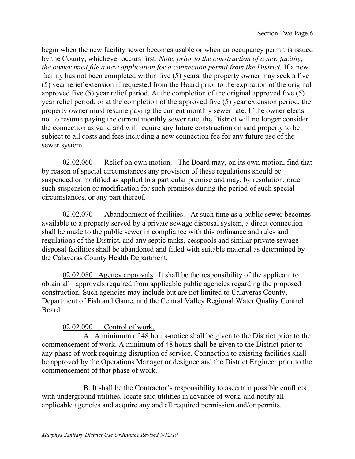begin when the new facility sewer becomes usable or when an occupancy permit is issued by the County, whichever occurs first. *Note, prior to the construction of a new facility, the owner must file a new application for a connection permit from the District.* If a new facility has not been completed within five (5) years, the property owner may seek a five (5) year relief extension if requested from the Board prior to the expiration of the original approved five (5) year relief period. At the completion of the original approved five (5) year relief period, or at the completion of the approved five (5) year extension period, the property owner must resume paying the current monthly sewer rate. If the owner elects not to resume paying the current monthly sewer rate, the District will no longer consider the connection as valid and will require any future construction on said property to be subject to all costs and fees including a new connection fee for any future use of the sewer system.

02.02.060 Relief on own motion. The Board may, on its own motion, find that by reason of special circumstances any provision of these regulations should be suspended or modified as applied to a particular premise and may, by resolution, order such suspension or modification for such premises during the period of such special circumstances, or any part thereof.

02.02.070 Abandonment of facilities. At such time as a public sewer becomes available to a property served by a private sewage disposal system, a direct connection shall be made to the public sewer in compliance with this ordinance and rules and regulations of the District, and any septic tanks, cesspools and similar private sewage disposal facilities shall be abandoned and filled with suitable material as determined by the Calaveras County Health Department.

02.02.080 Agency approvals. It shall be the responsibility of the applicant to obtain all approvals required from applicable public agencies regarding the proposed construction. Such agencies may include but are not limited to Calaveras County, Department of Fish and Game, and the Central Valley Regional Water Quality Control Board.

# 02.02.090 Control of work.

A. A minimum of 48 hours-notice shall be given to the District prior to the commencement of work. A minimum of 48 hours shall be given to the District prior to any phase of work requiring disruption of service. Connection to existing facilities shall be approved by the Operations Manager or designee and the District Engineer prior to the commencement of that phase of work.

 B. It shall be the Contractor's responsibility to ascertain possible conflicts with underground utilities, locate said utilities in advance of work, and notify all applicable agencies and acquire any and all required permission and/or permits.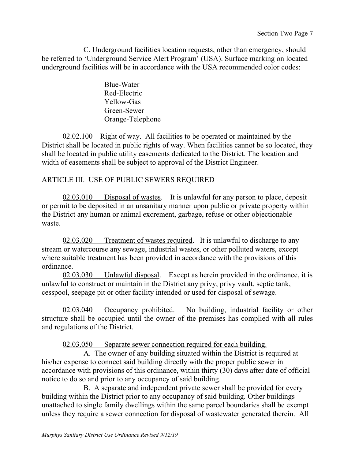C. Underground facilities location requests, other than emergency, should be referred to 'Underground Service Alert Program' (USA). Surface marking on located underground facilities will be in accordance with the USA recommended color codes:

> Blue-Water Red-Electric Yellow-Gas Green-Sewer Orange-Telephone

02.02.100 Right of way. All facilities to be operated or maintained by the District shall be located in public rights of way. When facilities cannot be so located, they shall be located in public utility easements dedicated to the District. The location and width of easements shall be subject to approval of the District Engineer.

# ARTICLE III. USE OF PUBLIC SEWERS REQUIRED

02.03.010 Disposal of wastes. It is unlawful for any person to place, deposit or permit to be deposited in an unsanitary manner upon public or private property within the District any human or animal excrement, garbage, refuse or other objectionable waste.

02.03.020 Treatment of wastes required. It is unlawful to discharge to any stream or watercourse any sewage, industrial wastes, or other polluted waters, except where suitable treatment has been provided in accordance with the provisions of this ordinance.

02.03.030 Unlawful disposal. Except as herein provided in the ordinance, it is unlawful to construct or maintain in the District any privy, privy vault, septic tank, cesspool, seepage pit or other facility intended or used for disposal of sewage.

02.03.040 Occupancy prohibited. No building, industrial facility or other structure shall be occupied until the owner of the premises has complied with all rules and regulations of the District.

02.03.050 Separate sewer connection required for each building.

A. The owner of any building situated within the District is required at his/her expense to connect said building directly with the proper public sewer in accordance with provisions of this ordinance, within thirty (30) days after date of official notice to do so and prior to any occupancy of said building.

B. A separate and independent private sewer shall be provided for every building within the District prior to any occupancy of said building. Other buildings unattached to single family dwellings within the same parcel boundaries shall be exempt unless they require a sewer connection for disposal of wastewater generated therein. All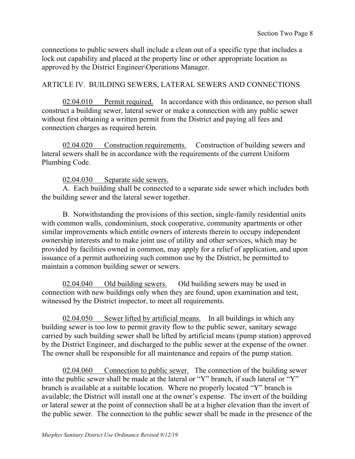connections to public sewers shall include a clean out of a specific type that includes a lock out capability and placed at the property line or other appropriate location as approved by the District Engineer\Operations Manager.

# ARTICLE IV. BUILDING SEWERS, LATERAL SEWERS AND CONNECTIONS

02.04.010 Permit required. In accordance with this ordinance, no person shall construct a building sewer, lateral sewer or make a connection with any public sewer without first obtaining a written permit from the District and paying all fees and connection charges as required herein.

02.04.020 Construction requirements. Construction of building sewers and lateral sewers shall be in accordance with the requirements of the current Uniform Plumbing Code.

# 02.04.030 Separate side sewers.

A. Each building shall be connected to a separate side sewer which includes both the building sewer and the lateral sewer together.

B. Notwithstanding the provisions of this section, single-family residential units with common walls, condominium, stock cooperative, community apartments or other similar improvements which entitle owners of interests therein to occupy independent ownership interests and to make joint use of utility and other services, which may be provided by facilities owned in common, may apply for a relief of application, and upon issuance of a permit authorizing such common use by the District, be permitted to maintain a common building sewer or sewers.

02.04.040 Old building sewers. Old building sewers may be used in connection with new buildings only when they are found, upon examination and test, witnessed by the District inspector, to meet all requirements.

02.04.050 Sewer lifted by artificial means. In all buildings in which any building sewer is too low to permit gravity flow to the public sewer, sanitary sewage carried by such building sewer shall be lifted by artificial means (pump station) approved by the District Engineer, and discharged to the public sewer at the expense of the owner. The owner shall be responsible for all maintenance and repairs of the pump station.

02.04.060 Connection to public sewer. The connection of the building sewer into the public sewer shall be made at the lateral or "Y" branch, if such lateral or "Y" branch is available at a suitable location. Where no properly located "Y" branch is available; the District will install one at the owner's expense. The invert of the building or lateral sewer at the point of connection shall be at a higher elevation than the invert of the public sewer. The connection to the public sewer shall be made in the presence of the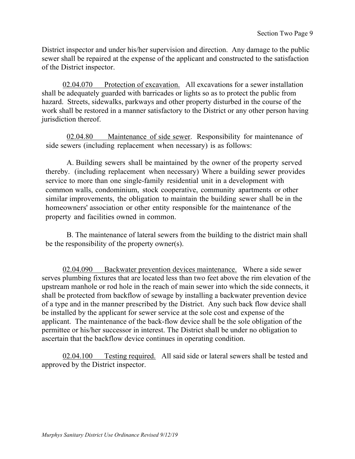District inspector and under his/her supervision and direction. Any damage to the public sewer shall be repaired at the expense of the applicant and constructed to the satisfaction of the District inspector.

02.04.070 Protection of excavation. All excavations for a sewer installation shall be adequately guarded with barricades or lights so as to protect the public from hazard. Streets, sidewalks, parkways and other property disturbed in the course of the work shall be restored in a manner satisfactory to the District or any other person having jurisdiction thereof.

02.04.80 Maintenance of side sewer. Responsibility for maintenance of side sewers (including replacement when necessary) is as follows:

A. Building sewers shall be maintained by the owner of the property served thereby. (including replacement when necessary) Where a building sewer provides service to more than one single-family residential unit in a development with common walls, condominium, stock cooperative, community apartments or other similar improvements, the obligation to maintain the building sewer shall be in the homeowners' association or other entity responsible for the maintenance of the property and facilities owned in common.

B. The maintenance of lateral sewers from the building to the district main shall be the responsibility of the property owner(s).

02.04.090 Backwater prevention devices maintenance. Where a side sewer serves plumbing fixtures that are located less than two feet above the rim elevation of the upstream manhole or rod hole in the reach of main sewer into which the side connects, it shall be protected from backflow of sewage by installing a backwater prevention device of a type and in the manner prescribed by the District. Any such back flow device shall be installed by the applicant for sewer service at the sole cost and expense of the applicant. The maintenance of the back-flow device shall be the sole obligation of the permittee or his/her successor in interest. The District shall be under no obligation to ascertain that the backflow device continues in operating condition.

02.04.100 Testing required. All said side or lateral sewers shall be tested and approved by the District inspector.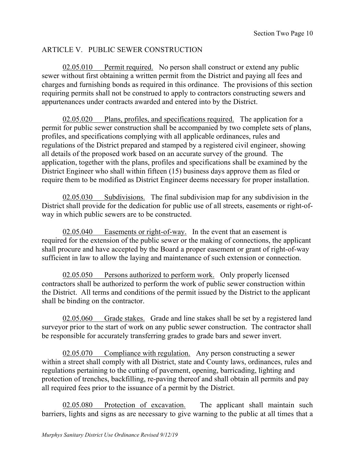# ARTICLE V. PUBLIC SEWER CONSTRUCTION

02.05.010 Permit required. No person shall construct or extend any public sewer without first obtaining a written permit from the District and paying all fees and charges and furnishing bonds as required in this ordinance. The provisions of this section requiring permits shall not be construed to apply to contractors constructing sewers and appurtenances under contracts awarded and entered into by the District.

02.05.020 Plans, profiles, and specifications required. The application for a permit for public sewer construction shall be accompanied by two complete sets of plans, profiles, and specifications complying with all applicable ordinances, rules and regulations of the District prepared and stamped by a registered civil engineer, showing all details of the proposed work based on an accurate survey of the ground. The application, together with the plans, profiles and specifications shall be examined by the District Engineer who shall within fifteen (15) business days approve them as filed or require them to be modified as District Engineer deems necessary for proper installation.

02.05.030 Subdivisions. The final subdivision map for any subdivision in the District shall provide for the dedication for public use of all streets, easements or right-ofway in which public sewers are to be constructed.

02.05.040 Easements or right-of-way. In the event that an easement is required for the extension of the public sewer or the making of connections, the applicant shall procure and have accepted by the Board a proper easement or grant of right-of-way sufficient in law to allow the laying and maintenance of such extension or connection.

02.05.050 Persons authorized to perform work. Only properly licensed contractors shall be authorized to perform the work of public sewer construction within the District. All terms and conditions of the permit issued by the District to the applicant shall be binding on the contractor.

02.05.060 Grade stakes. Grade and line stakes shall be set by a registered land surveyor prior to the start of work on any public sewer construction. The contractor shall be responsible for accurately transferring grades to grade bars and sewer invert.

02.05.070 Compliance with regulation. Any person constructing a sewer within a street shall comply with all District, state and County laws, ordinances, rules and regulations pertaining to the cutting of pavement, opening, barricading, lighting and protection of trenches, backfilling, re-paving thereof and shall obtain all permits and pay all required fees prior to the issuance of a permit by the District.

02.05.080 Protection of excavation. The applicant shall maintain such barriers, lights and signs as are necessary to give warning to the public at all times that a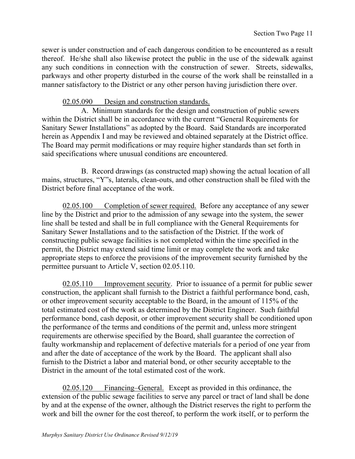sewer is under construction and of each dangerous condition to be encountered as a result thereof. He/she shall also likewise protect the public in the use of the sidewalk against any such conditions in connection with the construction of sewer. Streets, sidewalks, parkways and other property disturbed in the course of the work shall be reinstalled in a manner satisfactory to the District or any other person having jurisdiction there over.

02.05.090 Design and construction standards.

 A. Minimum standards for the design and construction of public sewers within the District shall be in accordance with the current "General Requirements for Sanitary Sewer Installations" as adopted by the Board. Said Standards are incorporated herein as Appendix I and may be reviewed and obtained separately at the District office. The Board may permit modifications or may require higher standards than set forth in said specifications where unusual conditions are encountered.

 B. Record drawings (as constructed map) showing the actual location of all mains, structures, "Y"s, laterals, clean-outs, and other construction shall be filed with the District before final acceptance of the work.

02.05.100 Completion of sewer required. Before any acceptance of any sewer line by the District and prior to the admission of any sewage into the system, the sewer line shall be tested and shall be in full compliance with the General Requirements for Sanitary Sewer Installations and to the satisfaction of the District. If the work of constructing public sewage facilities is not completed within the time specified in the permit, the District may extend said time limit or may complete the work and take appropriate steps to enforce the provisions of the improvement security furnished by the permittee pursuant to Article V, section 02.05.110.

02.05.110 Improvement security. Prior to issuance of a permit for public sewer construction, the applicant shall furnish to the District a faithful performance bond, cash, or other improvement security acceptable to the Board, in the amount of 115% of the total estimated cost of the work as determined by the District Engineer. Such faithful performance bond, cash deposit, or other improvement security shall be conditioned upon the performance of the terms and conditions of the permit and, unless more stringent requirements are otherwise specified by the Board, shall guarantee the correction of faulty workmanship and replacement of defective materials for a period of one year from and after the date of acceptance of the work by the Board. The applicant shall also furnish to the District a labor and material bond, or other security acceptable to the District in the amount of the total estimated cost of the work.

02.05.120 Financing–General. Except as provided in this ordinance, the extension of the public sewage facilities to serve any parcel or tract of land shall be done by and at the expense of the owner, although the District reserves the right to perform the work and bill the owner for the cost thereof, to perform the work itself, or to perform the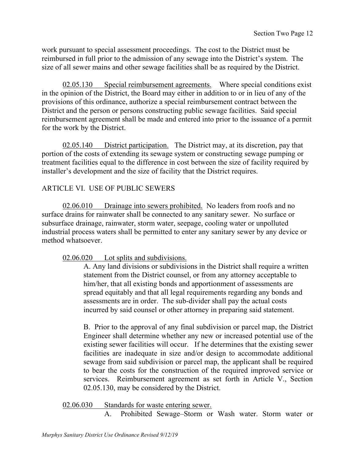work pursuant to special assessment proceedings. The cost to the District must be reimbursed in full prior to the admission of any sewage into the District's system. The size of all sewer mains and other sewage facilities shall be as required by the District.

02.05.130 Special reimbursement agreements. Where special conditions exist in the opinion of the District, the Board may either in addition to or in lieu of any of the provisions of this ordinance, authorize a special reimbursement contract between the District and the person or persons constructing public sewage facilities. Said special reimbursement agreement shall be made and entered into prior to the issuance of a permit for the work by the District.

02.05.140 District participation. The District may, at its discretion, pay that portion of the costs of extending its sewage system or constructing sewage pumping or treatment facilities equal to the difference in cost between the size of facility required by installer's development and the size of facility that the District requires.

# ARTICLE VI. USE OF PUBLIC SEWERS

02.06.010 Drainage into sewers prohibited. No leaders from roofs and no surface drains for rainwater shall be connected to any sanitary sewer. No surface or subsurface drainage, rainwater, storm water, seepage, cooling water or unpolluted industrial process waters shall be permitted to enter any sanitary sewer by any device or method whatsoever.

02.06.020 Lot splits and subdivisions.

A. Any land divisions or subdivisions in the District shall require a written statement from the District counsel, or from any attorney acceptable to him/her, that all existing bonds and apportionment of assessments are spread equitably and that all legal requirements regarding any bonds and assessments are in order. The sub-divider shall pay the actual costs incurred by said counsel or other attorney in preparing said statement.

B. Prior to the approval of any final subdivision or parcel map, the District Engineer shall determine whether any new or increased potential use of the existing sewer facilities will occur. If he determines that the existing sewer facilities are inadequate in size and/or design to accommodate additional sewage from said subdivision or parcel map, the applicant shall be required to bear the costs for the construction of the required improved service or services. Reimbursement agreement as set forth in Article V., Section 02.05.130, may be considered by the District.

02.06.030 Standards for waste entering sewer.

A. Prohibited Sewage–Storm or Wash water. Storm water or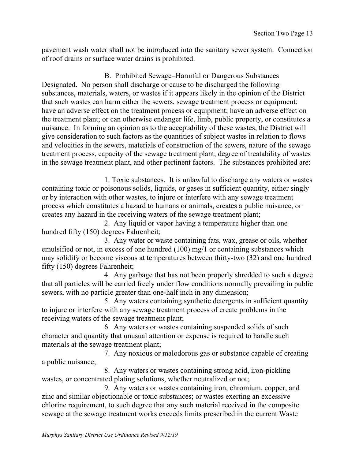pavement wash water shall not be introduced into the sanitary sewer system. Connection of roof drains or surface water drains is prohibited.

B. Prohibited Sewage–Harmful or Dangerous Substances Designated. No person shall discharge or cause to be discharged the following substances, materials, waters, or wastes if it appears likely in the opinion of the District that such wastes can harm either the sewers, sewage treatment process or equipment; have an adverse effect on the treatment process or equipment; have an adverse effect on the treatment plant; or can otherwise endanger life, limb, public property, or constitutes a nuisance. In forming an opinion as to the acceptability of these wastes, the District will give consideration to such factors as the quantities of subject wastes in relation to flows and velocities in the sewers, materials of construction of the sewers, nature of the sewage treatment process, capacity of the sewage treatment plant, degree of treatability of wastes in the sewage treatment plant, and other pertinent factors. The substances prohibited are:

1. Toxic substances. It is unlawful to discharge any waters or wastes containing toxic or poisonous solids, liquids, or gases in sufficient quantity, either singly or by interaction with other wastes, to injure or interfere with any sewage treatment process which constitutes a hazard to humans or animals, creates a public nuisance, or creates any hazard in the receiving waters of the sewage treatment plant;

2. Any liquid or vapor having a temperature higher than one hundred fifty (150) degrees Fahrenheit;

 3. Any water or waste containing fats, wax, grease or oils, whether emulsified or not, in excess of one hundred (100) mg/1 or containing substances which may solidify or become viscous at temperatures between thirty-two (32) and one hundred fifty (150) degrees Fahrenheit;

4. Any garbage that has not been properly shredded to such a degree that all particles will be carried freely under flow conditions normally prevailing in public sewers, with no particle greater than one-half inch in any dimension;

5. Any waters containing synthetic detergents in sufficient quantity to injure or interfere with any sewage treatment process of create problems in the receiving waters of the sewage treatment plant;

6. Any waters or wastes containing suspended solids of such character and quantity that unusual attention or expense is required to handle such materials at the sewage treatment plant;

7. Any noxious or malodorous gas or substance capable of creating a public nuisance;

8. Any waters or wastes containing strong acid, iron-pickling wastes, or concentrated plating solutions, whether neutralized or not;

9. Any waters or wastes containing iron, chromium, copper, and zinc and similar objectionable or toxic substances; or wastes exerting an excessive chlorine requirement, to such degree that any such material received in the composite sewage at the sewage treatment works exceeds limits prescribed in the current Waste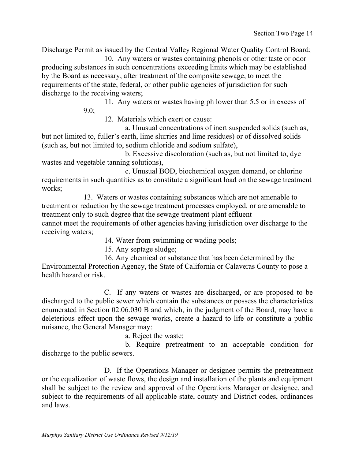Discharge Permit as issued by the Central Valley Regional Water Quality Control Board;

10. Any waters or wastes containing phenols or other taste or odor producing substances in such concentrations exceeding limits which may be established by the Board as necessary, after treatment of the composite sewage, to meet the requirements of the state, federal, or other public agencies of jurisdiction for such discharge to the receiving waters;

> 11. Any waters or wastes having ph lower than 5.5 or in excess of 9.0;

12. Materials which exert or cause:

a. Unusual concentrations of inert suspended solids (such as, but not limited to, fuller's earth, lime slurries and lime residues) or of dissolved solids (such as, but not limited to, sodium chloride and sodium sulfate),

b. Excessive discoloration (such as, but not limited to, dye wastes and vegetable tanning solutions),

c. Unusual BOD, biochemical oxygen demand, or chlorine requirements in such quantities as to constitute a significant load on the sewage treatment works;

13. Waters or wastes containing substances which are not amenable to treatment or reduction by the sewage treatment processes employed, or are amenable to treatment only to such degree that the sewage treatment plant effluent cannot meet the requirements of other agencies having jurisdiction over discharge to the receiving waters;

14. Water from swimming or wading pools;

15. Any septage sludge;

16. Any chemical or substance that has been determined by the Environmental Protection Agency, the State of California or Calaveras County to pose a health hazard or risk.

 C. If any waters or wastes are discharged, or are proposed to be discharged to the public sewer which contain the substances or possess the characteristics enumerated in Section 02.06.030 B and which, in the judgment of the Board, may have a deleterious effect upon the sewage works, create a hazard to life or constitute a public nuisance, the General Manager may:

a. Reject the waste;

b. Require pretreatment to an acceptable condition for discharge to the public sewers.

D. If the Operations Manager or designee permits the pretreatment or the equalization of waste flows, the design and installation of the plants and equipment shall be subject to the review and approval of the Operations Manager or designee, and subject to the requirements of all applicable state, county and District codes, ordinances and laws.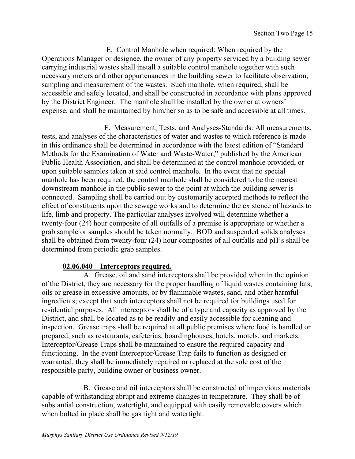E. Control Manhole when required: When required by the Operations Manager or designee, the owner of any property serviced by a building sewer carrying industrial wastes shall install a suitable control manhole together with such necessary meters and other appurtenances in the building sewer to facilitate observation, sampling and measurement of the wastes. Such manhole, when required, shall be accessible and safely located, and shall be constructed in accordance with plans approved by the District Engineer. The manhole shall be installed by the owner at owners' expense, and shall be maintained by him/her so as to be safe and accessible at all times.

F. Measurement, Tests, and Analyses-Standards: All measurements, tests, and analyses of the characteristics of water and wastes to which reference is made in this ordinance shall be determined in accordance with the latest edition of "Standard Methods for the Examination of Water and Waste-Water," published by the American Public Health Association, and shall be determined at the control manhole provided, or upon suitable samples taken at said control manhole. In the event that no special manhole has been required, the control manhole shall be considered to be the nearest downstream manhole in the public sewer to the point at which the building sewer is connected. Sampling shall be carried out by customarily accepted methods to reflect the effect of constituents upon the sewage works and to determine the existence of hazards to life, limb and property. The particular analyses involved will determine whether a twenty-four (24) hour composite of all outfalls of a premise is appropriate or whether a grab sample or samples should be taken normally. BOD and suspended solids analyses shall be obtained from twenty-four (24) hour composites of all outfalls and pH's shall be determined from periodic grab samples.

# **02.06.040 Interceptors required.**

A. Grease, oil and sand interceptors shall be provided when in the opinion of the District, they are necessary for the proper handling of liquid wastes containing fats, oils or grease in excessive amounts, or by flammable wastes, sand, and other harmful ingredients; except that such interceptors shall not be required for buildings used for residential purposes. All interceptors shall be of a type and capacity as approved by the District, and shall be located as to be readily and easily accessible for cleaning and inspection. Grease traps shall be required at all public premises where food is handled or prepared, such as restaurants, cafeterias, boardinghouses, hotels, motels, and markets. Interceptor/Grease Traps shall be maintained to ensure the required capacity and functioning. In the event Interceptor/Grease Trap fails to function as designed or warranted, they shall be immediately repaired or replaced at the sole cost of the responsible party, building owner or business owner.

B. Grease and oil interceptors shall be constructed of impervious materials capable of withstanding abrupt and extreme changes in temperature. They shall be of substantial construction, watertight, and equipped with easily removable covers which when bolted in place shall be gas tight and watertight.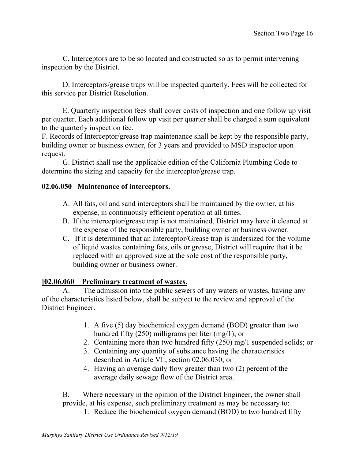C. Interceptors are to be so located and constructed so as to permit intervening inspection by the District.

D. Interceptors/grease traps will be inspected quarterly. Fees will be collected for this service per District Resolution.

E. Quarterly inspection fees shall cover costs of inspection and one follow up visit per quarter. Each additional follow up visit per quarter shall be charged a sum equivalent to the quarterly inspection fee.

F. Records of Interceptor/grease trap maintenance shall be kept by the responsible party, building owner or business owner, for 3 years and provided to MSD inspector upon request.

G. District shall use the applicable edition of the California Plumbing Code to determine the sizing and capacity for the interceptor/grease trap.

# **02.06.050 Maintenance of interceptors.**

- A. All fats, oil and sand interceptors shall be maintained by the owner, at his expense, in continuously efficient operation at all times.
- B. If the interceptor/grease trap is not maintained, District may have it cleaned at the expense of the responsible party, building owner or business owner.
- C. If it is determined that an Interceptor/Grease trap is undersized for the volume of liquid wastes containing fats, oils or grease, District will require that it be replaced with an approved size at the sole cost of the responsible party, building owner or business owner.

# **]02.06.060 Preliminary treatment of wastes.**

A. The admission into the public sewers of any waters or wastes, having any of the characteristics listed below, shall be subject to the review and approval of the District Engineer.

- 1. A five (5) day biochemical oxygen demand (BOD) greater than two hundred fifty (250) milligrams per liter (mg/1); or
- 2. Containing more than two hundred fifty (250) mg/1 suspended solids; or
- 3. Containing any quantity of substance having the characteristics described in Article VI., section 02.06.030; or
- 4. Having an average daily flow greater than two (2) percent of the average daily sewage flow of the District area.

B. Where necessary in the opinion of the District Engineer, the owner shall provide, at his expense, such preliminary treatment as may be necessary to:

1. Reduce the biochemical oxygen demand (BOD) to two hundred fifty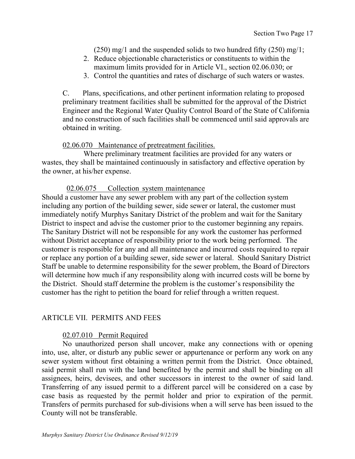$(250)$  mg/1 and the suspended solids to two hundred fifty  $(250)$  mg/1;

- 2. Reduce objectionable characteristics or constituents to within the maximum limits provided for in Article VI., section 02.06.030; or
- 3. Control the quantities and rates of discharge of such waters or wastes.

C. Plans, specifications, and other pertinent information relating to proposed preliminary treatment facilities shall be submitted for the approval of the District Engineer and the Regional Water Quality Control Board of the State of California and no construction of such facilities shall be commenced until said approvals are obtained in writing.

#### 02.06.070 Maintenance of pretreatment facilities.

Where preliminary treatment facilities are provided for any waters or wastes, they shall be maintained continuously in satisfactory and effective operation by the owner, at his/her expense.

#### 02.06.075 Collection system maintenance

Should a customer have any sewer problem with any part of the collection system including any portion of the building sewer, side sewer or lateral, the customer must immediately notify Murphys Sanitary District of the problem and wait for the Sanitary District to inspect and advise the customer prior to the customer beginning any repairs. The Sanitary District will not be responsible for any work the customer has performed without District acceptance of responsibility prior to the work being performed. The customer is responsible for any and all maintenance and incurred costs required to repair or replace any portion of a building sewer, side sewer or lateral. Should Sanitary District Staff be unable to determine responsibility for the sewer problem, the Board of Directors will determine how much if any responsibility along with incurred costs will be borne by the District. Should staff determine the problem is the customer's responsibility the customer has the right to petition the board for relief through a written request.

#### ARTICLE VII. PERMITS AND FEES

#### 02.07.010 Permit Required

No unauthorized person shall uncover, make any connections with or opening into, use, alter, or disturb any public sewer or appurtenance or perform any work on any sewer system without first obtaining a written permit from the District. Once obtained, said permit shall run with the land benefited by the permit and shall be binding on all assignees, heirs, devisees, and other successors in interest to the owner of said land. Transferring of any issued permit to a different parcel will be considered on a case by case basis as requested by the permit holder and prior to expiration of the permit. Transfers of permits purchased for sub-divisions when a will serve has been issued to the County will not be transferable.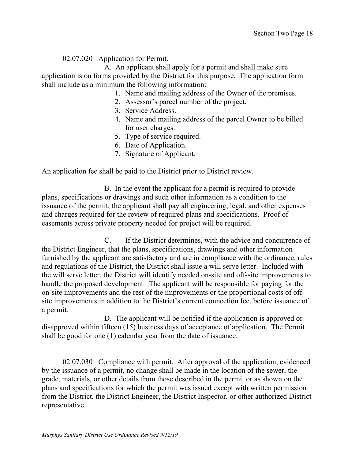# 02.07.020 Application for Permit.

 A. An applicant shall apply for a permit and shall make sure application is on forms provided by the District for this purpose. The application form shall include as a minimum the following information:

- 1. Name and mailing address of the Owner of the premises.
- 2. Assessor's parcel number of the project.
- 3. Service Address.
- 4. Name and mailing address of the parcel Owner to be billed for user charges.
- 5. Type of service required.
- 6. Date of Application.
- 7. Signature of Applicant.

An application fee shall be paid to the District prior to District review.

B. In the event the applicant for a permit is required to provide plans, specifications or drawings and such other information as a condition to the issuance of the permit, the applicant shall pay all engineering, legal, and other expenses and charges required for the review of required plans and specifications. Proof of easements across private property needed for project will be required.

C. If the District determines, with the advice and concurrence of the District Engineer, that the plans, specifications, drawings and other information furnished by the applicant are satisfactory and are in compliance with the ordinance, rules and regulations of the District, the District shall issue a will serve letter. Included with the will serve letter, the District will identify needed on-site and off-site improvements to handle the proposed development. The applicant will be responsible for paying for the on-site improvements and the rest of the improvements or the proportional costs of offsite improvements in addition to the District's current connection fee, before issuance of a permit.

D. The applicant will be notified if the application is approved or disapproved within fifteen (15) business days of acceptance of application. The Permit shall be good for one (1) calendar year from the date of issuance.

02.07.030 Compliance with permit. After approval of the application, evidenced by the issuance of a permit, no change shall be made in the location of the sewer, the grade, materials, or other details from those described in the permit or as shown on the plans and specifications for which the permit was issued except with written permission from the District, the District Engineer, the District Inspector, or other authorized District representative.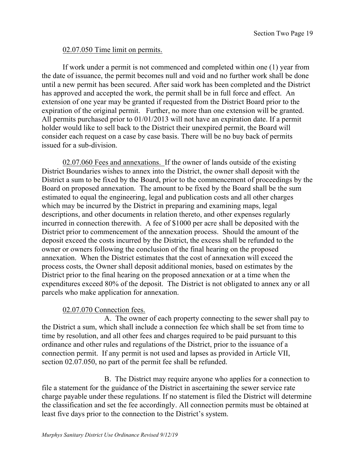## 02.07.050 Time limit on permits.

If work under a permit is not commenced and completed within one (1) year from the date of issuance, the permit becomes null and void and no further work shall be done until a new permit has been secured. After said work has been completed and the District has approved and accepted the work, the permit shall be in full force and effect. An extension of one year may be granted if requested from the District Board prior to the expiration of the original permit. Further, no more than one extension will be granted. All permits purchased prior to 01/01/2013 will not have an expiration date. If a permit holder would like to sell back to the District their unexpired permit, the Board will consider each request on a case by case basis. There will be no buy back of permits issued for a sub-division.

02.07.060 Fees and annexations. If the owner of lands outside of the existing District Boundaries wishes to annex into the District, the owner shall deposit with the District a sum to be fixed by the Board, prior to the commencement of proceedings by the Board on proposed annexation. The amount to be fixed by the Board shall be the sum estimated to equal the engineering, legal and publication costs and all other charges which may be incurred by the District in preparing and examining maps, legal descriptions, and other documents in relation thereto, and other expenses regularly incurred in connection therewith. A fee of \$1000 per acre shall be deposited with the District prior to commencement of the annexation process. Should the amount of the deposit exceed the costs incurred by the District, the excess shall be refunded to the owner or owners following the conclusion of the final hearing on the proposed annexation. When the District estimates that the cost of annexation will exceed the process costs, the Owner shall deposit additional monies, based on estimates by the District prior to the final hearing on the proposed annexation or at a time when the expenditures exceed 80% of the deposit. The District is not obligated to annex any or all parcels who make application for annexation.

#### 02.07.070 Connection fees.

A. The owner of each property connecting to the sewer shall pay to the District a sum, which shall include a connection fee which shall be set from time to time by resolution, and all other fees and charges required to be paid pursuant to this ordinance and other rules and regulations of the District, prior to the issuance of a connection permit. If any permit is not used and lapses as provided in Article VII, section 02.07.050, no part of the permit fee shall be refunded.

B. The District may require anyone who applies for a connection to file a statement for the guidance of the District in ascertaining the sewer service rate charge payable under these regulations. If no statement is filed the District will determine the classification and set the fee accordingly. All connection permits must be obtained at least five days prior to the connection to the District's system.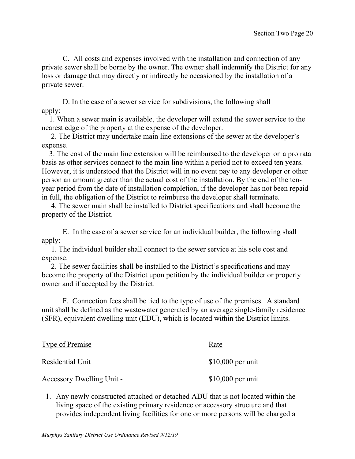C. All costs and expenses involved with the installation and connection of any private sewer shall be borne by the owner. The owner shall indemnify the District for any loss or damage that may directly or indirectly be occasioned by the installation of a private sewer.

D. In the case of a sewer service for subdivisions, the following shall apply:

 1. When a sewer main is available, the developer will extend the sewer service to the nearest edge of the property at the expense of the developer.

 2. The District may undertake main line extensions of the sewer at the developer's expense.

 3. The cost of the main line extension will be reimbursed to the developer on a pro rata basis as other services connect to the main line within a period not to exceed ten years. However, it is understood that the District will in no event pay to any developer or other person an amount greater than the actual cost of the installation. By the end of the tenyear period from the date of installation completion, if the developer has not been repaid in full, the obligation of the District to reimburse the developer shall terminate.

 4. The sewer main shall be installed to District specifications and shall become the property of the District.

E. In the case of a sewer service for an individual builder, the following shall apply:

 1. The individual builder shall connect to the sewer service at his sole cost and expense.

 2. The sewer facilities shall be installed to the District's specifications and may become the property of the District upon petition by the individual builder or property owner and if accepted by the District.

F. Connection fees shall be tied to the type of use of the premises. A standard unit shall be defined as the wastewater generated by an average single-family residence (SFR), equivalent dwelling unit (EDU), which is located within the District limits.

| Type of Premise           | Rate               |
|---------------------------|--------------------|
| Residential Unit          | $$10,000$ per unit |
| Accessory Dwelling Unit - | $$10,000$ per unit |

1. Any newly constructed attached or detached ADU that is not located within the living space of the existing primary residence or accessory structure and that provides independent living facilities for one or more persons will be charged a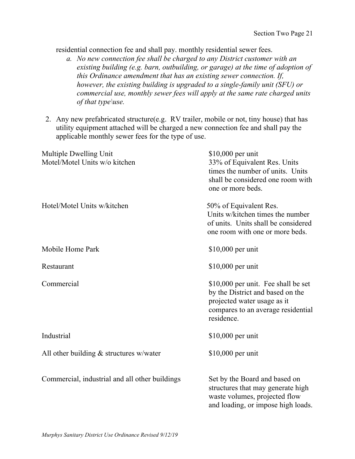residential connection fee and shall pay. monthly residential sewer fees.

- *a. No new connection fee shall be charged to any District customer with an existing building (e.g. barn, outbuilding, or garage) at the time of adoption of this Ordinance amendment that has an existing sewer connection. If, however, the existing building is upgraded to a single-family unit (SFU) or commercial use, monthly sewer fees will apply at the same rate charged units of that type\use.*
- 2. Any new prefabricated structure(e.g. RV trailer, mobile or not, tiny house) that has utility equipment attached will be charged a new connection fee and shall pay the applicable monthly sewer fees for the type of use.

| Multiple Dwelling Unit<br>Motel/Motel Units w/o kitchen | $$10,000$ per unit<br>33% of Equivalent Res. Units<br>times the number of units. Units<br>shall be considered one room with<br>one or more beds.           |
|---------------------------------------------------------|------------------------------------------------------------------------------------------------------------------------------------------------------------|
| Hotel/Motel Units w/kitchen                             | 50% of Equivalent Res.<br>Units w/kitchen times the number<br>of units. Units shall be considered<br>one room with one or more beds.                       |
| Mobile Home Park                                        | $$10,000$ per unit                                                                                                                                         |
| Restaurant                                              | $$10,000$ per unit                                                                                                                                         |
| Commercial                                              | \$10,000 per unit. Fee shall be set<br>by the District and based on the<br>projected water usage as it<br>compares to an average residential<br>residence. |
| Industrial                                              | $$10,000$ per unit                                                                                                                                         |
| All other building $&$ structures w/water               | $$10,000$ per unit                                                                                                                                         |
| Commercial, industrial and all other buildings          | Set by the Board and based on<br>structures that may generate high<br>waste volumes, projected flow<br>and loading, or impose high loads.                  |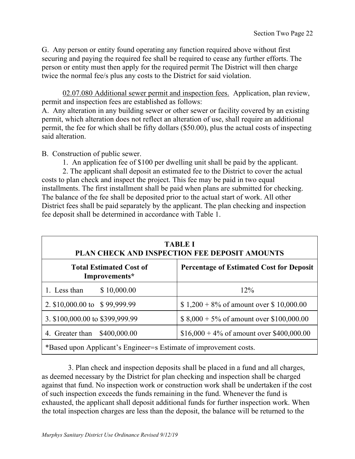G. Any person or entity found operating any function required above without first securing and paying the required fee shall be required to cease any further efforts. The person or entity must then apply for the required permit The District will then charge twice the normal fee/s plus any costs to the District for said violation.

02.07.080 Additional sewer permit and inspection fees. Application, plan review, permit and inspection fees are established as follows:

A. Any alteration in any building sewer or other sewer or facility covered by an existing permit, which alteration does not reflect an alteration of use, shall require an additional permit, the fee for which shall be fifty dollars (\$50.00), plus the actual costs of inspecting said alteration.

B. Construction of public sewer.

1. An application fee of \$100 per dwelling unit shall be paid by the applicant.

 2. The applicant shall deposit an estimated fee to the District to cover the actual costs to plan check and inspect the project. This fee may be paid in two equal installments. The first installment shall be paid when plans are submitted for checking. The balance of the fee shall be deposited prior to the actual start of work. All other District fees shall be paid separately by the applicant. The plan checking and inspection fee deposit shall be determined in accordance with Table 1.

| <b>TABLE I</b><br>PLAN CHECK AND INSPECTION FEE DEPOSIT AMOUNTS   |                                                 |  |
|-------------------------------------------------------------------|-------------------------------------------------|--|
| <b>Total Estimated Cost of</b><br>Improvements*                   | <b>Percentage of Estimated Cost for Deposit</b> |  |
| 1. Less than<br>\$10,000.00                                       | 12%                                             |  |
| 2. \$10,000.00 to \$99,999.99                                     | $$1,200 + 8\%$ of amount over \$10,000.00       |  |
| 3. \$100,000.00 to \$399,999.99                                   | \$ $8,000 + 5\%$ of amount over \$100,000.00    |  |
| 4. Greater than<br>\$400,000.00                                   | $$16,000 + 4\%$ of amount over \$400,000.00     |  |
| *Based upon Applicant's Engineer=s Estimate of improvement costs. |                                                 |  |

 3. Plan check and inspection deposits shall be placed in a fund and all charges, as deemed necessary by the District for plan checking and inspection shall be charged against that fund. No inspection work or construction work shall be undertaken if the cost of such inspection exceeds the funds remaining in the fund. Whenever the fund is exhausted, the applicant shall deposit additional funds for further inspection work. When the total inspection charges are less than the deposit, the balance will be returned to the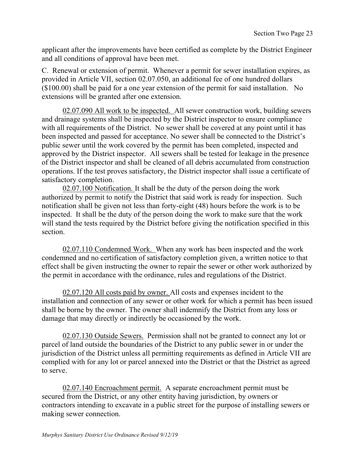applicant after the improvements have been certified as complete by the District Engineer and all conditions of approval have been met.

C. Renewal or extension of permit. Whenever a permit for sewer installation expires, as provided in Article VII, section 02.07.050, an additional fee of one hundred dollars (\$100.00) shall be paid for a one year extension of the permit for said installation. No extensions will be granted after one extension.

02.07.090 All work to be inspected. All sewer construction work, building sewers and drainage systems shall be inspected by the District inspector to ensure compliance with all requirements of the District. No sewer shall be covered at any point until it has been inspected and passed for acceptance. No sewer shall be connected to the District's public sewer until the work covered by the permit has been completed, inspected and approved by the District inspector. All sewers shall be tested for leakage in the presence of the District inspector and shall be cleaned of all debris accumulated from construction operations. If the test proves satisfactory, the District inspector shall issue a certificate of satisfactory completion.

02.07.100 Notification. It shall be the duty of the person doing the work authorized by permit to notify the District that said work is ready for inspection. Such notification shall be given not less than forty-eight (48) hours before the work is to be inspected. It shall be the duty of the person doing the work to make sure that the work will stand the tests required by the District before giving the notification specified in this section.

02.07.110 Condemned Work. When any work has been inspected and the work condemned and no certification of satisfactory completion given, a written notice to that effect shall be given instructing the owner to repair the sewer or other work authorized by the permit in accordance with the ordinance, rules and regulations of the District.

02.07.120 All costs paid by owner. All costs and expenses incident to the installation and connection of any sewer or other work for which a permit has been issued shall be borne by the owner. The owner shall indemnify the District from any loss or damage that may directly or indirectly be occasioned by the work.

02.07.130 Outside Sewers. Permission shall not be granted to connect any lot or parcel of land outside the boundaries of the District to any public sewer in or under the jurisdiction of the District unless all permitting requirements as defined in Article VII are complied with for any lot or parcel annexed into the District or that the District as agreed to serve.

02.07.140 Encroachment permit. A separate encroachment permit must be secured from the District, or any other entity having jurisdiction, by owners or contractors intending to excavate in a public street for the purpose of installing sewers or making sewer connection.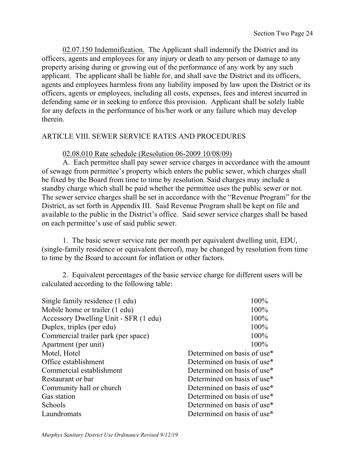02.07.150 Indemnification. The Applicant shall indemnify the District and its officers, agents and employees for any injury or death to any person or damage to any property arising during or growing out of the performance of any work by any such applicant. The applicant shall be liable for, and shall save the District and its officers, agents and employees harmless from any liability imposed by law upon the District or its officers, agents or employees, including all costs, expenses, fees and interest incurred in defending same or in seeking to enforce this provision. Applicant shall be solely liable for any defects in the performance of his/her work or any failure which may develop therein.

## ARTICLE VIII. SEWER SERVICE RATES AND PROCEDURES

#### 02.08.010 Rate schedule (Resolution 06-2009 10/08/09)

A. Each permittee shall pay sewer service charges in accordance with the amount of sewage from permittee's property which enters the public sewer, which charges shall be fixed by the Board from time to time by resolution. Said charges may include a standby charge which shall be paid whether the permittee uses the public sewer or not. The sewer service charges shall be set in accordance with the "Revenue Program" for the District, as set forth in Appendix III. Said Revenue Program shall be kept on file and available to the public in the District's office. Said sewer service charges shall be based on each permittee's use of said public sewer.

1. The basic sewer service rate per month per equivalent dwelling unit, EDU, (single-family residence or equivalent thereof), may be changed by resolution from time to time by the Board to account for inflation or other factors.

2. Equivalent percentages of the basic service charge for different users will be calculated according to the following table:

| Single family residence (1 edu)       | 100%                        |
|---------------------------------------|-----------------------------|
| Mobile home or trailer (1 edu)        | 100%                        |
| Accessory Dwelling Unit - SFR (1 edu) | 100%                        |
| Duplex, triples (per edu)             | 100%                        |
| Commercial trailer park (per space)   | 100%                        |
| Apartment (per unit)                  | 100%                        |
| Motel, Hotel                          | Determined on basis of use* |
| Office establishment                  | Determined on basis of use* |
| Commercial establishment              | Determined on basis of use* |
| Restaurant or bar                     | Determined on basis of use* |
| Community hall or church              | Determined on basis of use* |
| Gas station                           | Determined on basis of use* |
| Schools                               | Determined on basis of use* |
| Laundromats                           | Determined on basis of use* |
|                                       |                             |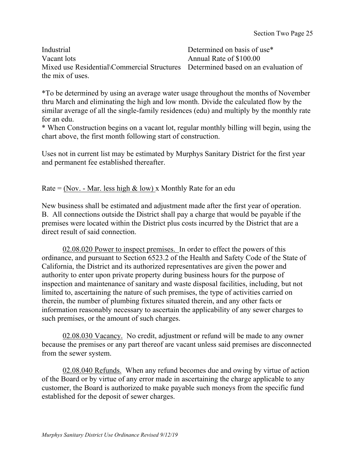Industrial Determined on basis of use\* Vacant lots Annual Rate of \$100.00 Mixed use Residential\Commercial Structures Determined based on an evaluation of the mix of uses.

\*To be determined by using an average water usage throughout the months of November thru March and eliminating the high and low month. Divide the calculated flow by the similar average of all the single-family residences (edu) and multiply by the monthly rate for an edu.

\* When Construction begins on a vacant lot, regular monthly billing will begin, using the chart above, the first month following start of construction.

Uses not in current list may be estimated by Murphys Sanitary District for the first year and permanent fee established thereafter.

# Rate = (Nov. - Mar. less high  $&$  low) x Monthly Rate for an edu

New business shall be estimated and adjustment made after the first year of operation. B. All connections outside the District shall pay a charge that would be payable if the premises were located within the District plus costs incurred by the District that are a direct result of said connection.

02.08.020 Power to inspect premises. In order to effect the powers of this ordinance, and pursuant to Section 6523.2 of the Health and Safety Code of the State of California, the District and its authorized representatives are given the power and authority to enter upon private property during business hours for the purpose of inspection and maintenance of sanitary and waste disposal facilities, including, but not limited to, ascertaining the nature of such premises, the type of activities carried on therein, the number of plumbing fixtures situated therein, and any other facts or information reasonably necessary to ascertain the applicability of any sewer charges to such premises, or the amount of such charges.

02.08.030 Vacancy. No credit, adjustment or refund will be made to any owner because the premises or any part thereof are vacant unless said premises are disconnected from the sewer system.

02.08.040 Refunds. When any refund becomes due and owing by virtue of action of the Board or by virtue of any error made in ascertaining the charge applicable to any customer, the Board is authorized to make payable such moneys from the specific fund established for the deposit of sewer charges.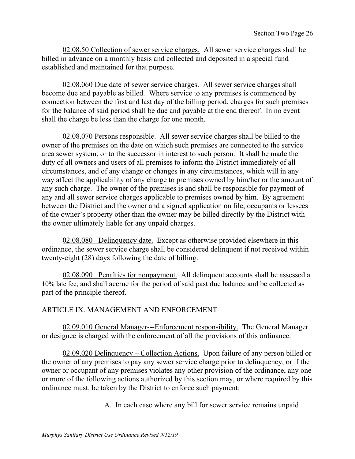02.08.50 Collection of sewer service charges. All sewer service charges shall be billed in advance on a monthly basis and collected and deposited in a special fund established and maintained for that purpose.

02.08.060 Due date of sewer service charges. All sewer service charges shall become due and payable as billed. Where service to any premises is commenced by connection between the first and last day of the billing period, charges for such premises for the balance of said period shall be due and payable at the end thereof. In no event shall the charge be less than the charge for one month.

02.08.070 Persons responsible. All sewer service charges shall be billed to the owner of the premises on the date on which such premises are connected to the service area sewer system, or to the successor in interest to such person. It shall be made the duty of all owners and users of all premises to inform the District immediately of all circumstances, and of any change or changes in any circumstances, which will in any way affect the applicability of any charge to premises owned by him/her or the amount of any such charge. The owner of the premises is and shall be responsible for payment of any and all sewer service charges applicable to premises owned by him. By agreement between the District and the owner and a signed application on file, occupants or lessees of the owner's property other than the owner may be billed directly by the District with the owner ultimately liable for any unpaid charges.

02.08.080 Delinquency date. Except as otherwise provided elsewhere in this ordinance, the sewer service charge shall be considered delinquent if not received within twenty-eight (28) days following the date of billing.

02.08.090 Penalties for nonpayment. All delinquent accounts shall be assessed a 10% late fee, and shall accrue for the period of said past due balance and be collected as part of the principle thereof.

# ARTICLE IX. MANAGEMENT AND ENFORCEMENT

02.09.010 General Manager---Enforcement responsibility. The General Manager or designee is charged with the enforcement of all the provisions of this ordinance.

02.09.020 Delinquency – Collection Actions. Upon failure of any person billed or the owner of any premises to pay any sewer service charge prior to delinquency, or if the owner or occupant of any premises violates any other provision of the ordinance, any one or more of the following actions authorized by this section may, or where required by this ordinance must, be taken by the District to enforce such payment:

A. In each case where any bill for sewer service remains unpaid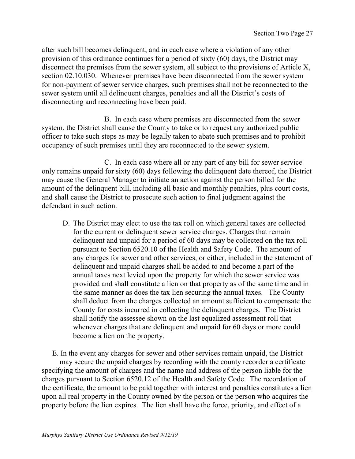after such bill becomes delinquent, and in each case where a violation of any other provision of this ordinance continues for a period of sixty (60) days, the District may disconnect the premises from the sewer system, all subject to the provisions of Article X, section 02.10.030. Whenever premises have been disconnected from the sewer system for non-payment of sewer service charges, such premises shall not be reconnected to the sewer system until all delinquent charges, penalties and all the District's costs of disconnecting and reconnecting have been paid.

B. In each case where premises are disconnected from the sewer system, the District shall cause the County to take or to request any authorized public officer to take such steps as may be legally taken to abate such premises and to prohibit occupancy of such premises until they are reconnected to the sewer system.

C. In each case where all or any part of any bill for sewer service only remains unpaid for sixty (60) days following the delinquent date thereof, the District may cause the General Manager to initiate an action against the person billed for the amount of the delinquent bill, including all basic and monthly penalties, plus court costs, and shall cause the District to prosecute such action to final judgment against the defendant in such action.

D. The District may elect to use the tax roll on which general taxes are collected for the current or delinquent sewer service charges. Charges that remain delinquent and unpaid for a period of 60 days may be collected on the tax roll pursuant to Section 6520.10 of the Health and Safety Code. The amount of any charges for sewer and other services, or either, included in the statement of delinquent and unpaid charges shall be added to and become a part of the annual taxes next levied upon the property for which the sewer service was provided and shall constitute a lien on that property as of the same time and in the same manner as does the tax lien securing the annual taxes. The County shall deduct from the charges collected an amount sufficient to compensate the County for costs incurred in collecting the delinquent charges. The District shall notify the assessee shown on the last equalized assessment roll that whenever charges that are delinquent and unpaid for 60 days or more could become a lien on the property.

E. In the event any charges for sewer and other services remain unpaid, the District may secure the unpaid charges by recording with the county recorder a certificate specifying the amount of charges and the name and address of the person liable for the charges pursuant to Section 6520.12 of the Health and Safety Code. The recordation of the certificate, the amount to be paid together with interest and penalties constitutes a lien upon all real property in the County owned by the person or the person who acquires the property before the lien expires. The lien shall have the force, priority, and effect of a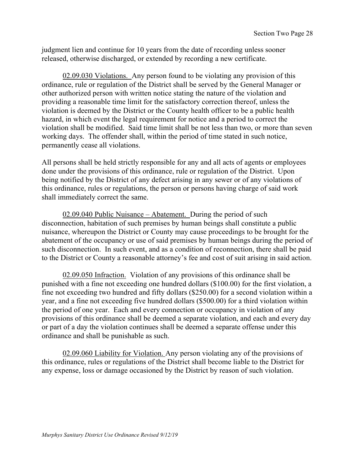judgment lien and continue for 10 years from the date of recording unless sooner released, otherwise discharged, or extended by recording a new certificate.

02.09.030 Violations. Any person found to be violating any provision of this ordinance, rule or regulation of the District shall be served by the General Manager or other authorized person with written notice stating the nature of the violation and providing a reasonable time limit for the satisfactory correction thereof, unless the violation is deemed by the District or the County health officer to be a public health hazard, in which event the legal requirement for notice and a period to correct the violation shall be modified. Said time limit shall be not less than two, or more than seven working days. The offender shall, within the period of time stated in such notice, permanently cease all violations.

All persons shall be held strictly responsible for any and all acts of agents or employees done under the provisions of this ordinance, rule or regulation of the District. Upon being notified by the District of any defect arising in any sewer or of any violations of this ordinance, rules or regulations, the person or persons having charge of said work shall immediately correct the same.

02.09.040 Public Nuisance – Abatement. During the period of such disconnection, habitation of such premises by human beings shall constitute a public nuisance, whereupon the District or County may cause proceedings to be brought for the abatement of the occupancy or use of said premises by human beings during the period of such disconnection. In such event, and as a condition of reconnection, there shall be paid to the District or County a reasonable attorney's fee and cost of suit arising in said action.

02.09.050 Infraction. Violation of any provisions of this ordinance shall be punished with a fine not exceeding one hundred dollars (\$100.00) for the first violation, a fine not exceeding two hundred and fifty dollars (\$250.00) for a second violation within a year, and a fine not exceeding five hundred dollars (\$500.00) for a third violation within the period of one year. Each and every connection or occupancy in violation of any provisions of this ordinance shall be deemed a separate violation, and each and every day or part of a day the violation continues shall be deemed a separate offense under this ordinance and shall be punishable as such.

02.09.060 Liability for Violation. Any person violating any of the provisions of this ordinance, rules or regulations of the District shall become liable to the District for any expense, loss or damage occasioned by the District by reason of such violation.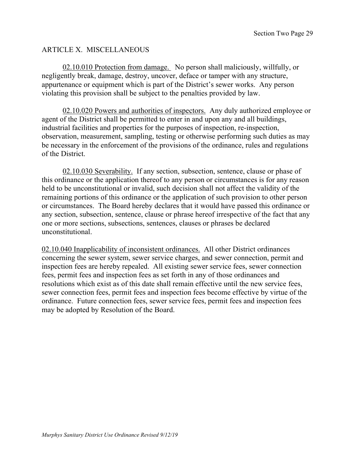## ARTICLE X. MISCELLANEOUS

02.10.010 Protection from damage. No person shall maliciously, willfully, or negligently break, damage, destroy, uncover, deface or tamper with any structure, appurtenance or equipment which is part of the District's sewer works. Any person violating this provision shall be subject to the penalties provided by law.

02.10.020 Powers and authorities of inspectors. Any duly authorized employee or agent of the District shall be permitted to enter in and upon any and all buildings, industrial facilities and properties for the purposes of inspection, re-inspection, observation, measurement, sampling, testing or otherwise performing such duties as may be necessary in the enforcement of the provisions of the ordinance, rules and regulations of the District.

02.10.030 Severability. If any section, subsection, sentence, clause or phase of this ordinance or the application thereof to any person or circumstances is for any reason held to be unconstitutional or invalid, such decision shall not affect the validity of the remaining portions of this ordinance or the application of such provision to other person or circumstances. The Board hereby declares that it would have passed this ordinance or any section, subsection, sentence, clause or phrase hereof irrespective of the fact that any one or more sections, subsections, sentences, clauses or phrases be declared unconstitutional.

02.10.040 Inapplicability of inconsistent ordinances. All other District ordinances concerning the sewer system, sewer service charges, and sewer connection, permit and inspection fees are hereby repealed. All existing sewer service fees, sewer connection fees, permit fees and inspection fees as set forth in any of those ordinances and resolutions which exist as of this date shall remain effective until the new service fees, sewer connection fees, permit fees and inspection fees become effective by virtue of the ordinance. Future connection fees, sewer service fees, permit fees and inspection fees may be adopted by Resolution of the Board.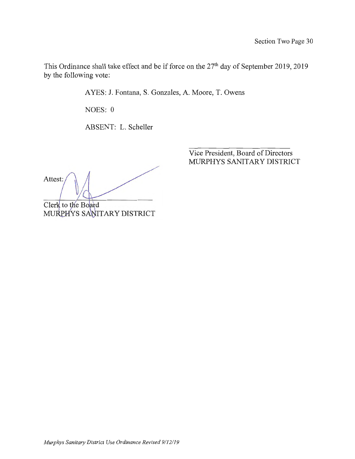This Ordinance shall take effect and be if force on the  $27<sup>th</sup>$  day of September 2019, 2019 by the following vote:

A YES: J. Fontana, S. Gonzales, A. Moore, T. Owens

NOES: 0

ABSENT: L. Scheller

Attest:

Clerk to the Board MURPHYS SANITARY DISTRICT

Vice President, Board of Directors MURPHYS SANITARY DISTRICT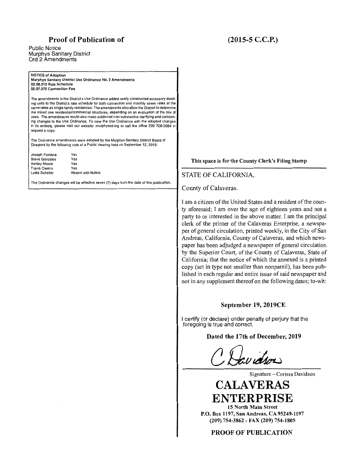#### **Proof of Publication of**

#### Public Notice Murphys Sanitary District Ord 2 Amendments

NOTICE of Adoption Murphys Sanitary District Use Ordinance No. 2 Amendments 02.08.010 Rate Schedule 02.07.070 Connection Fee

> Yes Yes Yes Yes

Absent with Notice

The amendments to the District's Use Ordinance added newly constructed accessory dwelling units to the District's rate schedule for both connection and monthly sewer rates at the same rates as single family residences. The amendments also allow the District to determine the mixed use residential/commercial structures, depending on an evaluation of the mix of uses. The amendments would also make additional non-substantive clarifying and conforming changes to the Use Ordinance. To view the Use Ordinance with the adopted changes in its entirety, please visit our website: murphyssd.org or call the office 209 728-3094 to request a copy.

The Ordinance amendments were adopted by the Murphys Sanitary District Board of Directors by the following vote at a Public Hearing held on September 12, 2019:

| Joseph Fontana        |  |
|-----------------------|--|
| <b>Steve Gonzales</b> |  |
| Ashley Moore          |  |
| <b>Travis Owens</b>   |  |
| Lydia Scheller        |  |

The Ordinance changes will be effective seven (7) days from the date of this publication.

# **(2015-5 C.C.P.)**

#### **This space is for the County Clerk's Filing Stamp**

#### STATE OF CALIFORNIA,

County of Calaveras.

I am a citizen of the United States and a resident of the county aforesaid; I am over the age of eighteen years and not a party to or interested in the above matter. I am the principal clerk of the printer of the Calaveras Enterprise, a newspaper of general circulation, printed weekly, in the City of San Andreas, California, County of Calaveras, and which newspaper has been adjudged a newspaper of general circulation by the Superior Court, of the County of Calaveras, State of California; that the notice of which the annexed is a printed copy (set in type not smaller than nonpareil), has been published in each regular and entire issue of said newspaper and not in any supplement thereof on the following dates; to-wit:

#### **September 19, 2019CE**

I certify (or declare) under penalty of perjury that the foregoing is true and correct.

#### **Dated the 17th of December, 2019**

Clavidson

Signature - Corissa Davidson

# **CALAVERAS ENTERPRISE**

**15 North Main Street P.O. Box 1197, San Andreas, CA 95249-1197**  (209) 754-3862 - FAX (209) 754-1805

PROOF OF PUBLICATION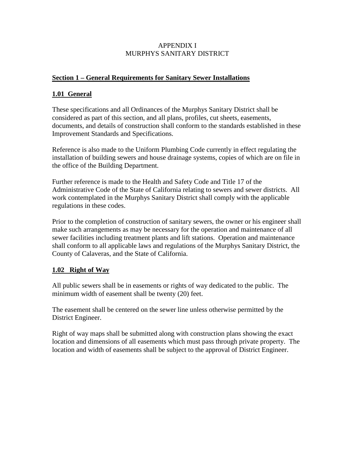#### APPENDIX I MURPHYS SANITARY DISTRICT

### **Section 1 – General Requirements for Sanitary Sewer Installations**

## **1.01 General**

These specifications and all Ordinances of the Murphys Sanitary District shall be considered as part of this section, and all plans, profiles, cut sheets, easements, documents, and details of construction shall conform to the standards established in these Improvement Standards and Specifications.

Reference is also made to the Uniform Plumbing Code currently in effect regulating the installation of building sewers and house drainage systems, copies of which are on file in the office of the Building Department.

Further reference is made to the Health and Safety Code and Title 17 of the Administrative Code of the State of California relating to sewers and sewer districts. All work contemplated in the Murphys Sanitary District shall comply with the applicable regulations in these codes.

Prior to the completion of construction of sanitary sewers, the owner or his engineer shall make such arrangements as may be necessary for the operation and maintenance of all sewer facilities including treatment plants and lift stations. Operation and maintenance shall conform to all applicable laws and regulations of the Murphys Sanitary District, the County of Calaveras, and the State of California.

# **1.02 Right of Way**

All public sewers shall be in easements or rights of way dedicated to the public. The minimum width of easement shall be twenty (20) feet.

The easement shall be centered on the sewer line unless otherwise permitted by the District Engineer.

Right of way maps shall be submitted along with construction plans showing the exact location and dimensions of all easements which must pass through private property. The location and width of easements shall be subject to the approval of District Engineer.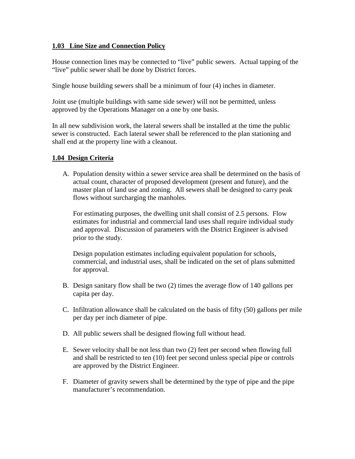#### **1.03 Line Size and Connection Policy**

House connection lines may be connected to "live" public sewers. Actual tapping of the "live" public sewer shall be done by District forces.

Single house building sewers shall be a minimum of four (4) inches in diameter.

Joint use (multiple buildings with same side sewer) will not be permitted, unless approved by the Operations Manager on a one by one basis.

In all new subdivision work, the lateral sewers shall be installed at the time the public sewer is constructed. Each lateral sewer shall be referenced to the plan stationing and shall end at the property line with a cleanout.

#### **1.04 Design Criteria**

A. Population density within a sewer service area shall be determined on the basis of actual count, character of proposed development (present and future), and the master plan of land use and zoning. All sewers shall be designed to carry peak flows without surcharging the manholes.

For estimating purposes, the dwelling unit shall consist of 2.5 persons. Flow estimates for industrial and commercial land uses shall require individual study and approval. Discussion of parameters with the District Engineer is advised prior to the study.

Design population estimates including equivalent population for schools, commercial, and industrial uses, shall be indicated on the set of plans submitted for approval.

- B. Design sanitary flow shall be two (2) times the average flow of 140 gallons per capita per day.
- C. Infiltration allowance shall be calculated on the basis of fifty (50) gallons per mile per day per inch diameter of pipe.
- D. All public sewers shall be designed flowing full without head.
- E. Sewer velocity shall be not less than two (2) feet per second when flowing full and shall be restricted to ten (10) feet per second unless special pipe or controls are approved by the District Engineer.
- F. Diameter of gravity sewers shall be determined by the type of pipe and the pipe manufacturer's recommendation.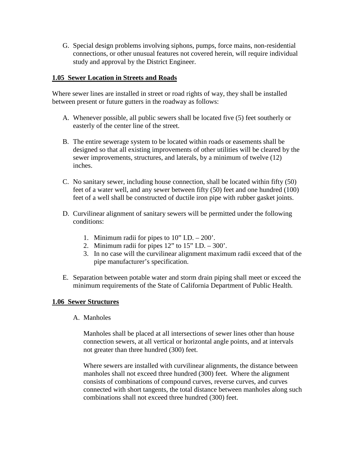G. Special design problems involving siphons, pumps, force mains, non-residential connections, or other unusual features not covered herein, will require individual study and approval by the District Engineer.

#### **1.05 Sewer Location in Streets and Roads**

Where sewer lines are installed in street or road rights of way, they shall be installed between present or future gutters in the roadway as follows:

- A. Whenever possible, all public sewers shall be located five (5) feet southerly or easterly of the center line of the street.
- B. The entire sewerage system to be located within roads or easements shall be designed so that all existing improvements of other utilities will be cleared by the sewer improvements, structures, and laterals, by a minimum of twelve (12) inches.
- C. No sanitary sewer, including house connection, shall be located within fifty (50) feet of a water well, and any sewer between fifty (50) feet and one hundred (100) feet of a well shall be constructed of ductile iron pipe with rubber gasket joints.
- D. Curvilinear alignment of sanitary sewers will be permitted under the following conditions:
	- 1. Minimum radii for pipes to 10" I.D. 200'.
	- 2. Minimum radii for pipes  $12$ " to  $15$ " I.D.  $-300$ .
	- 3. In no case will the curvilinear alignment maximum radii exceed that of the pipe manufacturer's specification.
- E. Separation between potable water and storm drain piping shall meet or exceed the minimum requirements of the State of California Department of Public Health.

#### **1.06 Sewer Structures**

A. Manholes

Manholes shall be placed at all intersections of sewer lines other than house connection sewers, at all vertical or horizontal angle points, and at intervals not greater than three hundred (300) feet.

Where sewers are installed with curvilinear alignments, the distance between manholes shall not exceed three hundred (300) feet. Where the alignment consists of combinations of compound curves, reverse curves, and curves connected with short tangents, the total distance between manholes along such combinations shall not exceed three hundred (300) feet.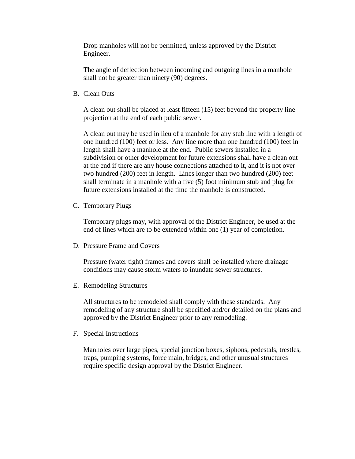Drop manholes will not be permitted, unless approved by the District Engineer.

The angle of deflection between incoming and outgoing lines in a manhole shall not be greater than ninety (90) degrees.

B. Clean Outs

A clean out shall be placed at least fifteen (15) feet beyond the property line projection at the end of each public sewer.

A clean out may be used in lieu of a manhole for any stub line with a length of one hundred (100) feet or less. Any line more than one hundred (100) feet in length shall have a manhole at the end. Public sewers installed in a subdivision or other development for future extensions shall have a clean out at the end if there are any house connections attached to it, and it is not over two hundred (200) feet in length. Lines longer than two hundred (200) feet shall terminate in a manhole with a five (5) foot minimum stub and plug for future extensions installed at the time the manhole is constructed.

C. Temporary Plugs

Temporary plugs may, with approval of the District Engineer, be used at the end of lines which are to be extended within one (1) year of completion.

D. Pressure Frame and Covers

Pressure (water tight) frames and covers shall be installed where drainage conditions may cause storm waters to inundate sewer structures.

E. Remodeling Structures

All structures to be remodeled shall comply with these standards. Any remodeling of any structure shall be specified and/or detailed on the plans and approved by the District Engineer prior to any remodeling.

F. Special Instructions

Manholes over large pipes, special junction boxes, siphons, pedestals, trestles, traps, pumping systems, force main, bridges, and other unusual structures require specific design approval by the District Engineer.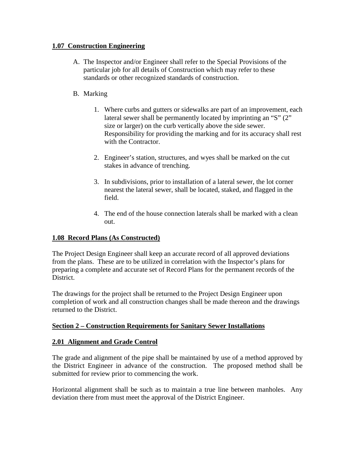#### **1.07 Construction Engineering**

A. The Inspector and/or Engineer shall refer to the Special Provisions of the particular job for all details of Construction which may refer to these standards or other recognized standards of construction.

# B. Marking

- 1. Where curbs and gutters or sidewalks are part of an improvement, each lateral sewer shall be permanently located by imprinting an "S" (2" size or larger) on the curb vertically above the side sewer. Responsibility for providing the marking and for its accuracy shall rest with the Contractor.
- 2. Engineer's station, structures, and wyes shall be marked on the cut stakes in advance of trenching.
- 3. In subdivisions, prior to installation of a lateral sewer, the lot corner nearest the lateral sewer, shall be located, staked, and flagged in the field.
- 4. The end of the house connection laterals shall be marked with a clean out.

# **1.08 Record Plans (As Constructed)**

The Project Design Engineer shall keep an accurate record of all approved deviations from the plans. These are to be utilized in correlation with the Inspector's plans for preparing a complete and accurate set of Record Plans for the permanent records of the District.

The drawings for the project shall be returned to the Project Design Engineer upon completion of work and all construction changes shall be made thereon and the drawings returned to the District.

# **Section 2 – Construction Requirements for Sanitary Sewer Installations**

#### **2.01 Alignment and Grade Control**

The grade and alignment of the pipe shall be maintained by use of a method approved by the District Engineer in advance of the construction. The proposed method shall be submitted for review prior to commencing the work.

Horizontal alignment shall be such as to maintain a true line between manholes. Any deviation there from must meet the approval of the District Engineer.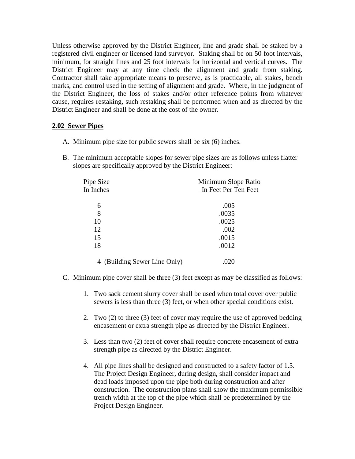Unless otherwise approved by the District Engineer, line and grade shall be staked by a registered civil engineer or licensed land surveyor. Staking shall be on 50 foot intervals, minimum, for straight lines and 25 foot intervals for horizontal and vertical curves. The District Engineer may at any time check the alignment and grade from staking. Contractor shall take appropriate means to preserve, as is practicable, all stakes, bench marks, and control used in the setting of alignment and grade. Where, in the judgment of the District Engineer, the loss of stakes and/or other reference points from whatever cause, requires restaking, such restaking shall be performed when and as directed by the District Engineer and shall be done at the cost of the owner.

#### **2.02 Sewer Pipes**

- A. Minimum pipe size for public sewers shall be six (6) inches.
- B. The minimum acceptable slopes for sewer pipe sizes are as follows unless flatter slopes are specifically approved by the District Engineer:

| Pipe Size                    | Minimum Slope Ratio  |
|------------------------------|----------------------|
| In Inches                    | In Feet Per Ten Feet |
|                              |                      |
| 6                            | .005                 |
| 8                            | .0035                |
| 10                           | .0025                |
| 12                           | .002                 |
| 15                           | .0015                |
| 18                           | .0012                |
|                              |                      |
| 4 (Building Sewer Line Only) | .020                 |

- C. Minimum pipe cover shall be three (3) feet except as may be classified as follows:
	- 1. Two sack cement slurry cover shall be used when total cover over public sewers is less than three (3) feet, or when other special conditions exist.
	- 2. Two (2) to three (3) feet of cover may require the use of approved bedding encasement or extra strength pipe as directed by the District Engineer.
	- 3. Less than two (2) feet of cover shall require concrete encasement of extra strength pipe as directed by the District Engineer.
	- 4. All pipe lines shall be designed and constructed to a safety factor of 1.5. The Project Design Engineer, during design, shall consider impact and dead loads imposed upon the pipe both during construction and after construction. The construction plans shall show the maximum permissible trench width at the top of the pipe which shall be predetermined by the Project Design Engineer.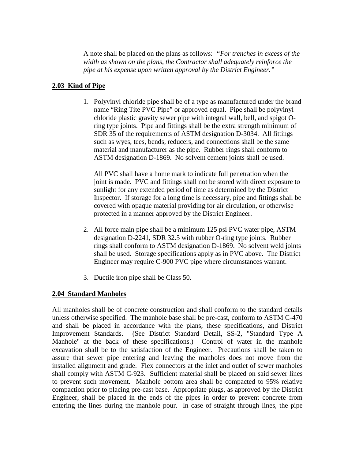A note shall be placed on the plans as follows: *"For trenches in excess of the width as shown on the plans, the Contractor shall adequately reinforce the pipe at his expense upon written approval by the District Engineer."* 

### **2.03 Kind of Pipe**

1. Polyvinyl chloride pipe shall be of a type as manufactured under the brand name "Ring Tite PVC Pipe" or approved equal. Pipe shall be polyvinyl chloride plastic gravity sewer pipe with integral wall, bell, and spigot Oring type joints. Pipe and fittings shall be the extra strength minimum of SDR 35 of the requirements of ASTM designation D-3034. All fittings such as wyes, tees, bends, reducers, and connections shall be the same material and manufacturer as the pipe. Rubber rings shall conform to ASTM designation D-1869. No solvent cement joints shall be used.

All PVC shall have a home mark to indicate full penetration when the joint is made. PVC and fittings shall not be stored with direct exposure to sunlight for any extended period of time as determined by the District Inspector. If storage for a long time is necessary, pipe and fittings shall be covered with opaque material providing for air circulation, or otherwise protected in a manner approved by the District Engineer.

- 2. All force main pipe shall be a minimum 125 psi PVC water pipe, ASTM designation D-2241, SDR 32.5 with rubber O-ring type joints. Rubber rings shall conform to ASTM designation D-1869. No solvent weld joints shall be used. Storage specifications apply as in PVC above. The District Engineer may require C-900 PVC pipe where circumstances warrant.
- 3. Ductile iron pipe shall be Class 50.

# **2.04 Standard Manholes**

All manholes shall be of concrete construction and shall conform to the standard details unless otherwise specified. The manhole base shall be pre-cast, conform to ASTM C-470 and shall be placed in accordance with the plans, these specifications, and District Improvement Standards. (See District Standard Detail, SS-2, "Standard Type A Manhole" at the back of these specifications.) Control of water in the manhole excavation shall be to the satisfaction of the Engineer. Precautions shall be taken to assure that sewer pipe entering and leaving the manholes does not move from the installed alignment and grade. Flex connectors at the inlet and outlet of sewer manholes shall comply with ASTM C-923. Sufficient material shall be placed on said sewer lines to prevent such movement. Manhole bottom area shall be compacted to 95% relative compaction prior to placing pre-cast base. Appropriate plugs, as approved by the District Engineer, shall be placed in the ends of the pipes in order to prevent concrete from entering the lines during the manhole pour. In case of straight through lines, the pipe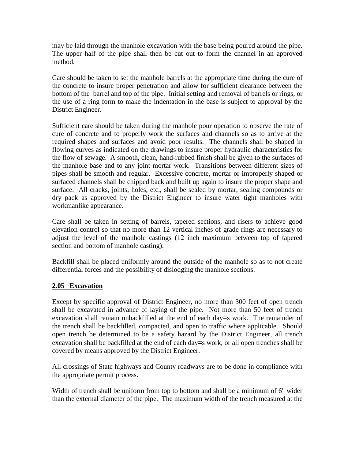may be laid through the manhole excavation with the base being poured around the pipe. The upper half of the pipe shall then be cut out to form the channel in an approved method.

Care should be taken to set the manhole barrels at the appropriate time during the cure of the concrete to insure proper penetration and allow for sufficient clearance between the bottom of the barrel and top of the pipe. Initial setting and removal of barrels or rings, or the use of a ring form to make the indentation in the base is subject to approval by the District Engineer.

Sufficient care should be taken during the manhole pour operation to observe the rate of cure of concrete and to properly work the surfaces and channels so as to arrive at the required shapes and surfaces and avoid poor results. The channels shall be shaped in flowing curves as indicated on the drawings to insure proper hydraulic characteristics for the flow of sewage. A smooth, clean, hand-rubbed finish shall be given to the surfaces of the manhole base and to any joint mortar work. Transitions between different sizes of pipes shall be smooth and regular. Excessive concrete, mortar or improperly shaped or surfaced channels shall be chipped back and built up again to insure the proper shape and surface. All cracks, joints, holes, etc., shall be sealed by mortar, sealing compounds or dry pack as approved by the District Engineer to insure water tight manholes with workmanlike appearance.

Care shall be taken in setting of barrels, tapered sections, and risers to achieve good elevation control so that no more than 12 vertical inches of grade rings are necessary to adjust the level of the manhole castings (12 inch maximum between top of tapered section and bottom of manhole casting).

Backfill shall be placed uniformly around the outside of the manhole so as to not create differential forces and the possibility of dislodging the manhole sections.

#### **2.05 Excavation**

Except by specific approval of District Engineer, no more than 300 feet of open trench shall be excavated in advance of laying of the pipe. Not more than 50 feet of trench excavation shall remain unbackfilled at the end of each day=s work. The remainder of the trench shall be backfilled, compacted, and open to traffic where applicable. Should open trench be determined to be a safety hazard by the District Engineer, all trench excavation shall be backfilled at the end of each day=s work, or all open trenches shall be covered by means approved by the District Engineer.

All crossings of State highways and County roadways are to be done in compliance with the appropriate permit process.

Width of trench shall be uniform from top to bottom and shall be a minimum of 6" wider than the external diameter of the pipe. The maximum width of the trench measured at the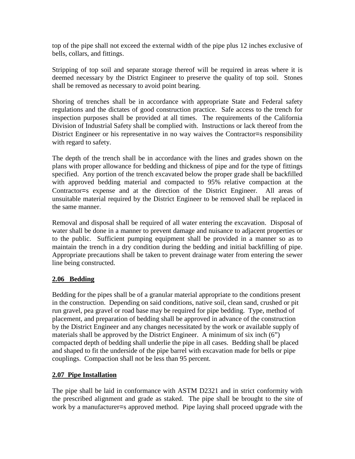top of the pipe shall not exceed the external width of the pipe plus 12 inches exclusive of bells, collars, and fittings.

Stripping of top soil and separate storage thereof will be required in areas where it is deemed necessary by the District Engineer to preserve the quality of top soil. Stones shall be removed as necessary to avoid point bearing.

Shoring of trenches shall be in accordance with appropriate State and Federal safety regulations and the dictates of good construction practice. Safe access to the trench for inspection purposes shall be provided at all times. The requirements of the California Division of Industrial Safety shall be complied with. Instructions or lack thereof from the District Engineer or his representative in no way waives the Contractor=s responsibility with regard to safety.

The depth of the trench shall be in accordance with the lines and grades shown on the plans with proper allowance for bedding and thickness of pipe and for the type of fittings specified. Any portion of the trench excavated below the proper grade shall be backfilled with approved bedding material and compacted to 95% relative compaction at the Contractor=s expense and at the direction of the District Engineer. All areas of unsuitable material required by the District Engineer to be removed shall be replaced in the same manner.

Removal and disposal shall be required of all water entering the excavation. Disposal of water shall be done in a manner to prevent damage and nuisance to adjacent properties or to the public. Sufficient pumping equipment shall be provided in a manner so as to maintain the trench in a dry condition during the bedding and initial backfilling of pipe. Appropriate precautions shall be taken to prevent drainage water from entering the sewer line being constructed.

#### **2.06 Bedding**

 Bedding for the pipes shall be of a granular material appropriate to the conditions present in the construction. Depending on said conditions, native soil, clean sand, crushed or pit run gravel, pea gravel or road base may be required for pipe bedding. Type, method of placement, and preparation of bedding shall be approved in advance of the construction by the District Engineer and any changes necessitated by the work or available supply of materials shall be approved by the District Engineer. A minimum of six inch (6") compacted depth of bedding shall underlie the pipe in all cases. Bedding shall be placed and shaped to fit the underside of the pipe barrel with excavation made for bells or pipe couplings. Compaction shall not be less than 95 percent.

#### **2.07 Pipe Installation**

The pipe shall be laid in conformance with ASTM D2321 and in strict conformity with the prescribed alignment and grade as staked. The pipe shall be brought to the site of work by a manufacturer=s approved method. Pipe laying shall proceed upgrade with the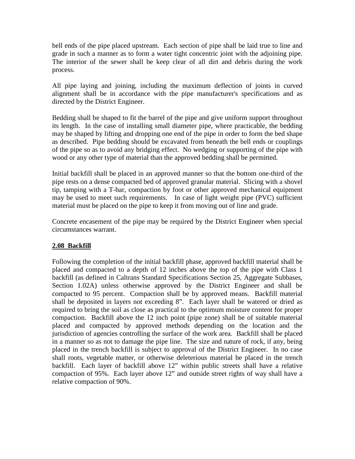bell ends of the pipe placed upstream. Each section of pipe shall be laid true to line and grade in such a manner as to form a water tight concentric joint with the adjoining pipe. The interior of the sewer shall be keep clear of all dirt and debris during the work process.

All pipe laying and joining, including the maximum deflection of joints in curved alignment shall be in accordance with the pipe manufacturer's specifications and as directed by the District Engineer.

Bedding shall be shaped to fit the barrel of the pipe and give uniform support throughout its length. In the case of installing small diameter pipe, where practicable, the bedding may be shaped by lifting and dropping one end of the pipe in order to form the bed shape as described. Pipe bedding should be excavated from beneath the bell ends or couplings of the pipe so as to avoid any bridging effect. No wedging or supporting of the pipe with wood or any other type of material than the approved bedding shall be permitted.

Initial backfill shall be placed in an approved manner so that the bottom one-third of the pipe rests on a dense compacted bed of approved granular material. Slicing with a shovel tip, tamping with a T-bar, compaction by foot or other approved mechanical equipment may be used to meet such requirements. In case of light weight pipe (PVC) sufficient material must be placed on the pipe to keep it from moving out of line and grade.

Concrete encasement of the pipe may be required by the District Engineer when special circumstances warrant.

#### **2.08 Backfill**

Following the completion of the initial backfill phase, approved backfill material shall be placed and compacted to a depth of 12 inches above the top of the pipe with Class 1 backfill (as defined in Caltrans Standard Specifications Section 25, Aggregate Subbases, Section 1.02A) unless otherwise approved by the District Engineer and shall be compacted to 95 percent. Compaction shall be by approved means. Backfill material shall be deposited in layers not exceeding 8". Each layer shall be watered or dried as required to bring the soil as close as practical to the optimum moisture content for proper compaction. Backfill above the 12 inch point (pipe zone) shall be of suitable material placed and compacted by approved methods depending on the location and the jurisdiction of agencies controlling the surface of the work area. Backfill shall be placed in a manner so as not to damage the pipe line. The size and nature of rock, if any, being placed in the trench backfill is subject to approval of the District Engineer. In no case shall roots, vegetable matter, or otherwise deleterious material be placed in the trench backfill. Each layer of backfill above 12" within public streets shall have a relative compaction of 95%. Each layer above 12" and outside street rights of way shall have a relative compaction of 90%.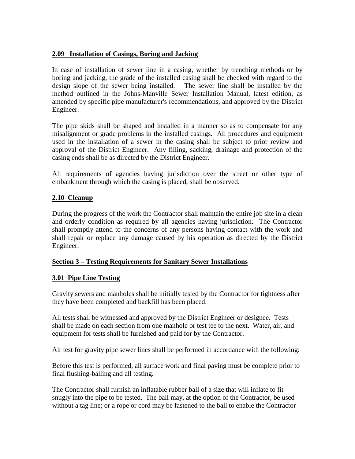#### **2.09 Installation of Casings, Boring and Jacking**

In case of installation of sewer line in a casing, whether by trenching methods or by boring and jacking, the grade of the installed casing shall be checked with regard to the design slope of the sewer being installed. The sewer line shall be installed by the method outlined in the Johns-Manville Sewer Installation Manual, latest edition, as amended by specific pipe manufacturer's recommendations, and approved by the District Engineer.

The pipe skids shall be shaped and installed in a manner so as to compensate for any misalignment or grade problems in the installed casings. All procedures and equipment used in the installation of a sewer in the casing shall be subject to prior review and approval of the District Engineer. Any filling, sacking, drainage and protection of the casing ends shall be as directed by the District Engineer.

All requirements of agencies having jurisdiction over the street or other type of embankment through which the casing is placed, shall be observed.

#### **2.10 Cleanup**

During the progress of the work the Contractor shall maintain the entire job site in a clean and orderly condition as required by all agencies having jurisdiction. The Contractor shall promptly attend to the concerns of any persons having contact with the work and shall repair or replace any damage caused by his operation as directed by the District Engineer.

#### **Section 3 – Testing Requirements for Sanitary Sewer Installations**

#### **3.01 Pipe Line Testing**

Gravity sewers and manholes shall be initially tested by the Contractor for tightness after they have been completed and backfill has been placed.

All tests shall be witnessed and approved by the District Engineer or designee. Tests shall be made on each section from one manhole or test tee to the next. Water, air, and equipment for tests shall be furnished and paid for by the Contractor.

Air test for gravity pipe sewer lines shall be performed in accordance with the following:

Before this test is performed, all surface work and final paving must be complete prior to final flushing-balling and all testing.

The Contractor shall furnish an inflatable rubber ball of a size that will inflate to fit snugly into the pipe to be tested. The ball may, at the option of the Contractor, be used without a tag line; or a rope or cord may be fastened to the ball to enable the Contractor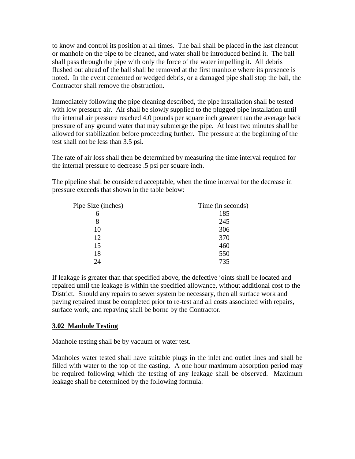to know and control its position at all times. The ball shall be placed in the last cleanout or manhole on the pipe to be cleaned, and water shall be introduced behind it. The ball shall pass through the pipe with only the force of the water impelling it. All debris flushed out ahead of the ball shall be removed at the first manhole where its presence is noted. In the event cemented or wedged debris, or a damaged pipe shall stop the ball, the Contractor shall remove the obstruction.

Immediately following the pipe cleaning described, the pipe installation shall be tested with low pressure air. Air shall be slowly supplied to the plugged pipe installation until the internal air pressure reached 4.0 pounds per square inch greater than the average back pressure of any ground water that may submerge the pipe. At least two minutes shall be allowed for stabilization before proceeding further. The pressure at the beginning of the test shall not be less than 3.5 psi.

The rate of air loss shall then be determined by measuring the time interval required for the internal pressure to decrease .5 psi per square inch.

The pipeline shall be considered acceptable, when the time interval for the decrease in pressure exceeds that shown in the table below:

| Pipe Size (inches) | Time (in seconds) |
|--------------------|-------------------|
| 6                  | 185               |
| 8                  | 245               |
| 10                 | 306               |
| 12                 | 370               |
| 15                 | 460               |
| 18                 | 550               |
| 24                 | 735               |

If leakage is greater than that specified above, the defective joints shall be located and repaired until the leakage is within the specified allowance, without additional cost to the District. Should any repairs to sewer system be necessary, then all surface work and paving repaired must be completed prior to re-test and all costs associated with repairs, surface work, and repaving shall be borne by the Contractor.

#### **3.02 Manhole Testing**

Manhole testing shall be by vacuum or water test.

Manholes water tested shall have suitable plugs in the inlet and outlet lines and shall be filled with water to the top of the casting. A one hour maximum absorption period may be required following which the testing of any leakage shall be observed. Maximum leakage shall be determined by the following formula: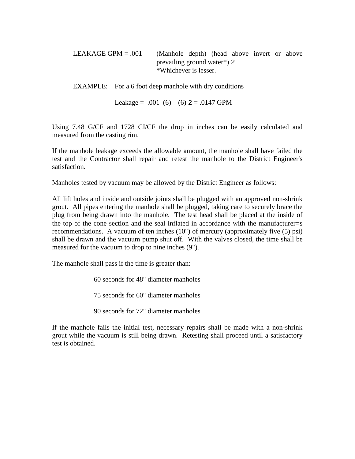LEAKAGE GPM  $= .001$  (Manhole depth) (head above invert or above prevailing ground water\*) 2 \*Whichever is lesser.

EXAMPLE: For a 6 foot deep manhole with dry conditions

Leakage =  $.001$  (6) (6)  $2 = .0147$  GPM

Using 7.48 G/CF and 1728 CI/CF the drop in inches can be easily calculated and measured from the casting rim.

If the manhole leakage exceeds the allowable amount, the manhole shall have failed the test and the Contractor shall repair and retest the manhole to the District Engineer's satisfaction.

Manholes tested by vacuum may be allowed by the District Engineer as follows:

All lift holes and inside and outside joints shall be plugged with an approved non-shrink grout. All pipes entering the manhole shall be plugged, taking care to securely brace the plug from being drawn into the manhole. The test head shall be placed at the inside of the top of the cone section and the seal inflated in accordance with the manufacturer=s recommendations. A vacuum of ten inches (10") of mercury (approximately five (5) psi) shall be drawn and the vacuum pump shut off. With the valves closed, the time shall be measured for the vacuum to drop to nine inches (9").

The manhole shall pass if the time is greater than:

60 seconds for 48" diameter manholes

75 seconds for 60" diameter manholes

90 seconds for 72" diameter manholes

If the manhole fails the initial test, necessary repairs shall be made with a non-shrink grout while the vacuum is still being drawn. Retesting shall proceed until a satisfactory test is obtained.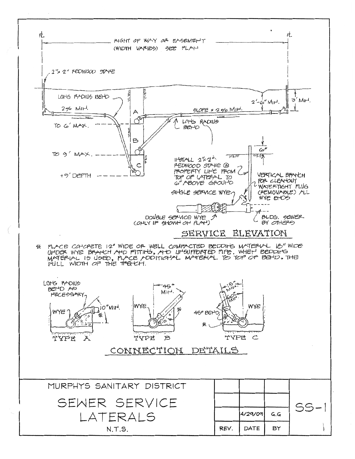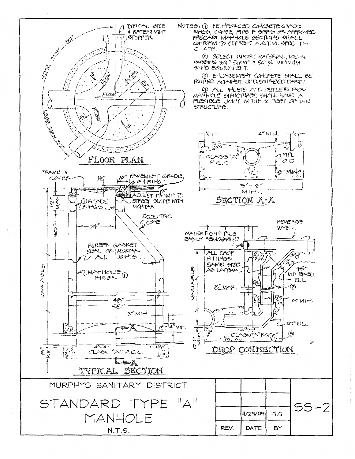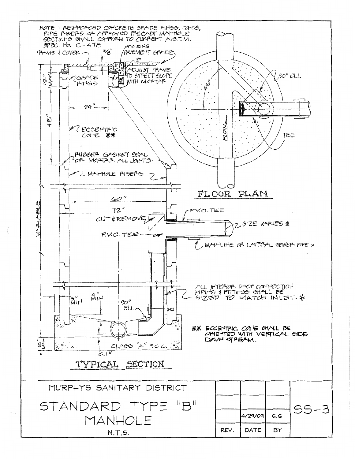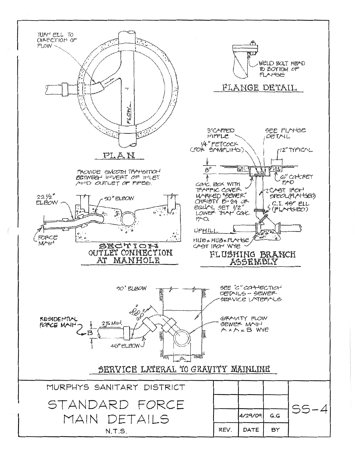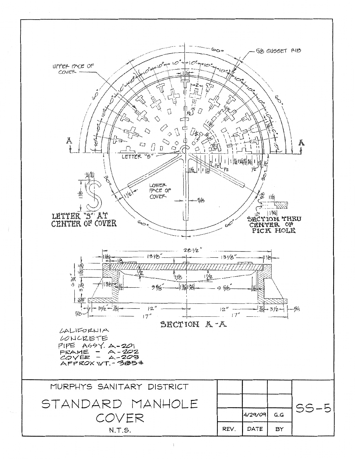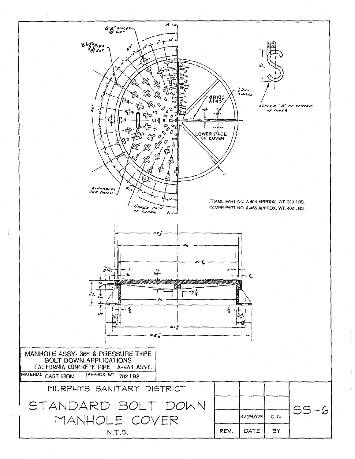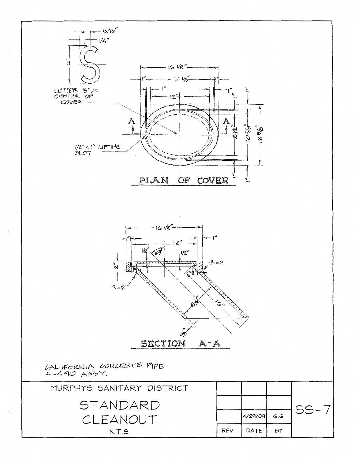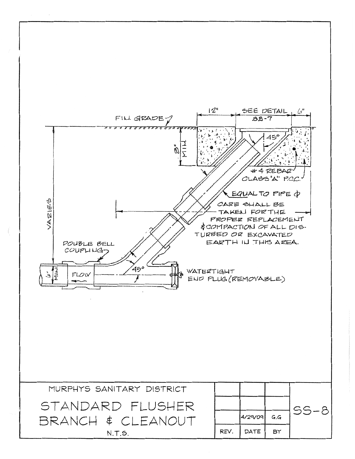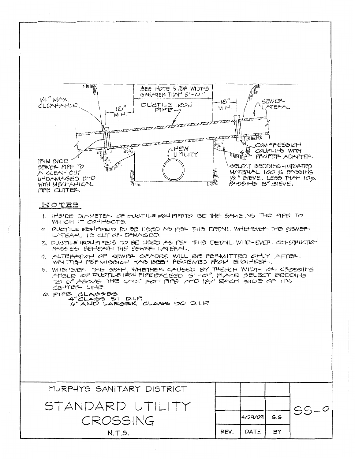

#### NOTES

- 1. INSIDE DIAMETER OF DUCTILE IRON PIPETO BE THE SAME AS THE PIPE TO WHICH IT COMMECTS.
- 2. DUCTILE IRCAPIPEIS TO BE USED AS PER THIS DETAIL WHEHEVER THE SEWER LATERAL IS CUT OF DAMAGED.
- 3. DUCTILE IRON PIPE 15 TO BE USED AS PER THIS DETAIL WHEHEVER COMSTRUCTION PASSES BEHEATH THE SEWER LATERAL.
- 4. ALTEPATION OF SEWER GRADES WILL BE PERMITTED ONLY AFTER WAITTEN PEPMISSICN HAS BEEN PECEIVED PROM ENGINEER.
- 5. WHENER THE SPAN, WHETHER CAUSED BY TRETCH WIDTH CR. CROSSING<br>ArtsLE OF PUCTILE IRON PIPEEXCEED 5'-0", PLACE SELECT BEDDING<br>TO 6" ABOVE THE CAST IRON PIPE AND IS" EACH SIDE OF ITS CENTER LINE.
- **G. PIPE CLASSES** いしょう 6" AND LARGER CLASS 50 D.I.P.

| MURPHYS SANITARY DISTRICT |      |         |     |  |
|---------------------------|------|---------|-----|--|
| STANDARD UTILITY          |      |         |     |  |
| CROSSING                  |      | 4/29/09 | G.G |  |
| N.T.S.                    | REV. | DATE    | BY  |  |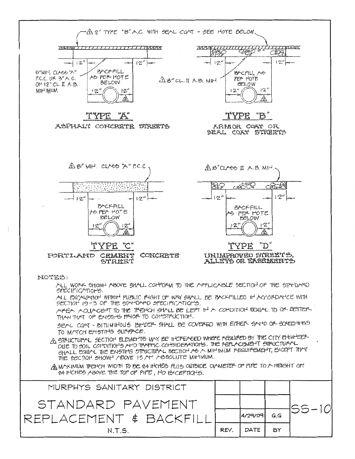